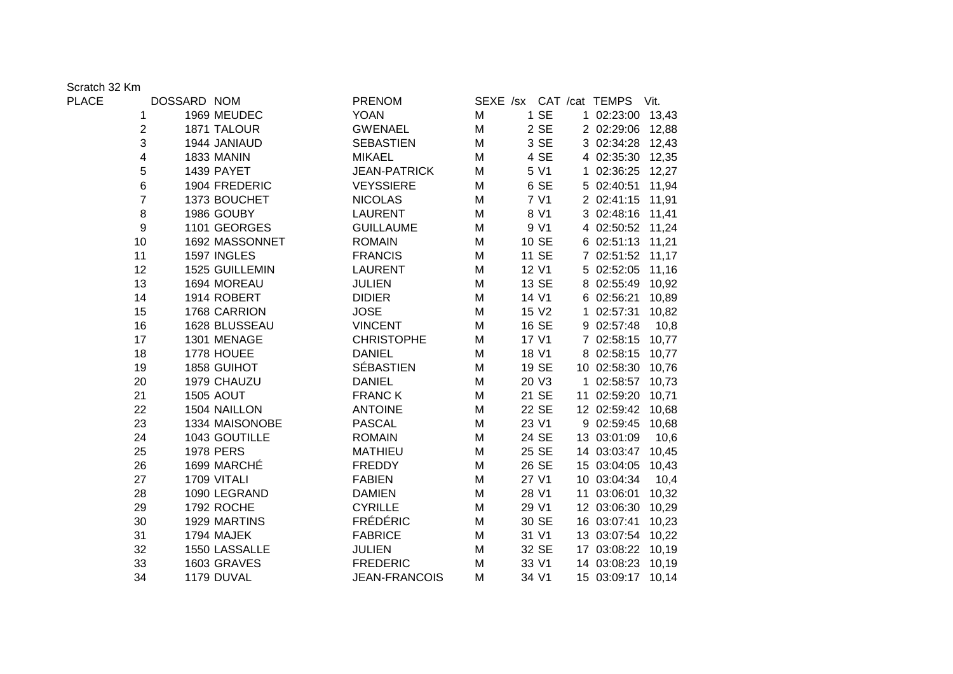Scratch 32 Km

| <b>PLACE</b> |                | DOSSARD NOM      | <b>PRENOM</b>       |   |                   | SEXE /sx CAT /cat TEMPS | Vit.  |
|--------------|----------------|------------------|---------------------|---|-------------------|-------------------------|-------|
|              | 1              | 1969 MEUDEC      | <b>YOAN</b>         | M | 1 SE              | 1 02:23:00 13,43        |       |
|              | 2              | 1871 TALOUR      | <b>GWENAEL</b>      | M | 2 SE              | 2 02:29:06 12,88        |       |
|              | 3              | 1944 JANIAUD     | <b>SEBASTIEN</b>    | M | 3 SE              | 3 02:34:28 12,43        |       |
|              | 4              | 1833 MANIN       | <b>MIKAEL</b>       | M | 4 SE              | 4 02:35:30 12,35        |       |
|              | 5              | 1439 PAYET       | <b>JEAN-PATRICK</b> | M | 5 V1              | 1 02:36:25 12,27        |       |
|              | $6\phantom{a}$ | 1904 FREDERIC    | <b>VEYSSIERE</b>    | M | 6 SE              | 5 02:40:51              | 11,94 |
|              | $\overline{7}$ | 1373 BOUCHET     | <b>NICOLAS</b>      | M | 7 V1              | 2 02:41:15              | 11,91 |
|              | 8              | 1986 GOUBY       | <b>LAURENT</b>      | M | 8 V1              | 3 02:48:16 11,41        |       |
|              | 9              | 1101 GEORGES     | <b>GUILLAUME</b>    | M | 9 V1              | 4 02:50:52 11,24        |       |
|              | 10             | 1692 MASSONNET   | <b>ROMAIN</b>       | M | 10 SE             | 6 02:51:13 11,21        |       |
|              | 11             | 1597 INGLES      | <b>FRANCIS</b>      | M | 11 SE             | 7 02:51:52 11,17        |       |
|              | 12             | 1525 GUILLEMIN   | <b>LAURENT</b>      | M | 12 V1             | 5 02:52:05              | 11,16 |
|              | 13             | 1694 MOREAU      | <b>JULIEN</b>       | M | 13 SE             | 8 02:55:49              | 10,92 |
|              | 14             | 1914 ROBERT      | <b>DIDIER</b>       | M | 14 V1             | 6 02:56:21              | 10,89 |
|              | 15             | 1768 CARRION     | <b>JOSE</b>         | M | 15 V <sub>2</sub> | 1 02:57:31 10,82        |       |
|              | 16             | 1628 BLUSSEAU    | <b>VINCENT</b>      | M | 16 SE             | 9 02:57:48              | 10,8  |
|              | 17             | 1301 MENAGE      | <b>CHRISTOPHE</b>   | M | 17 V1             | 7 02:58:15 10,77        |       |
|              | 18             | 1778 HOUEE       | <b>DANIEL</b>       | M | 18 V1             | 8 02:58:15              | 10,77 |
|              | 19             | 1858 GUIHOT      | <b>SÉBASTIEN</b>    | M | 19 SE             | 10 02:58:30 10,76       |       |
|              | 20             | 1979 CHAUZU      | <b>DANIEL</b>       | M | 20 V3             | 1 02:58:57 10,73        |       |
|              | 21             | <b>1505 AOUT</b> | <b>FRANCK</b>       | M | 21 SE             | 11 02:59:20 10,71       |       |
|              | 22             | 1504 NAILLON     | <b>ANTOINE</b>      | M | 22 SE             | 12 02:59:42 10,68       |       |
|              | 23             | 1334 MAISONOBE   | <b>PASCAL</b>       | M | 23 V1             | 9 02:59:45              | 10,68 |
|              | 24             | 1043 GOUTILLE    | <b>ROMAIN</b>       | M | 24 SE             | 13 03:01:09             | 10,6  |
|              | 25             | <b>1978 PERS</b> | <b>MATHIEU</b>      | M | 25 SE             | 14 03:03:47 10,45       |       |
|              | 26             | 1699 MARCHÉ      | <b>FREDDY</b>       | M | 26 SE             | 15 03:04:05             | 10,43 |
|              | 27             | 1709 VITALI      | <b>FABIEN</b>       | M | 27 V1             | 10 03:04:34             | 10,4  |
|              | 28             | 1090 LEGRAND     | <b>DAMIEN</b>       | M | 28 V1             | 11 03:06:01             | 10,32 |
|              | 29             | 1792 ROCHE       | <b>CYRILLE</b>      | M | 29 V1             | 12 03:06:30             | 10,29 |
|              | 30             | 1929 MARTINS     | <b>FRÉDÉRIC</b>     | M | 30 SE             | 16 03:07:41             | 10,23 |
|              | 31             | 1794 MAJEK       | <b>FABRICE</b>      | M | 31 V1             | 13 03:07:54 10,22       |       |
|              | 32             | 1550 LASSALLE    | <b>JULIEN</b>       | M | 32 SE             | 17 03:08:22 10,19       |       |
|              | 33             | 1603 GRAVES      | <b>FREDERIC</b>     | M | 33 V1             | 14 03:08:23 10,19       |       |
|              | 34             | 1179 DUVAL       | JEAN-FRANCOIS       | M | 34 V1             | 15 03:09:17 10,14       |       |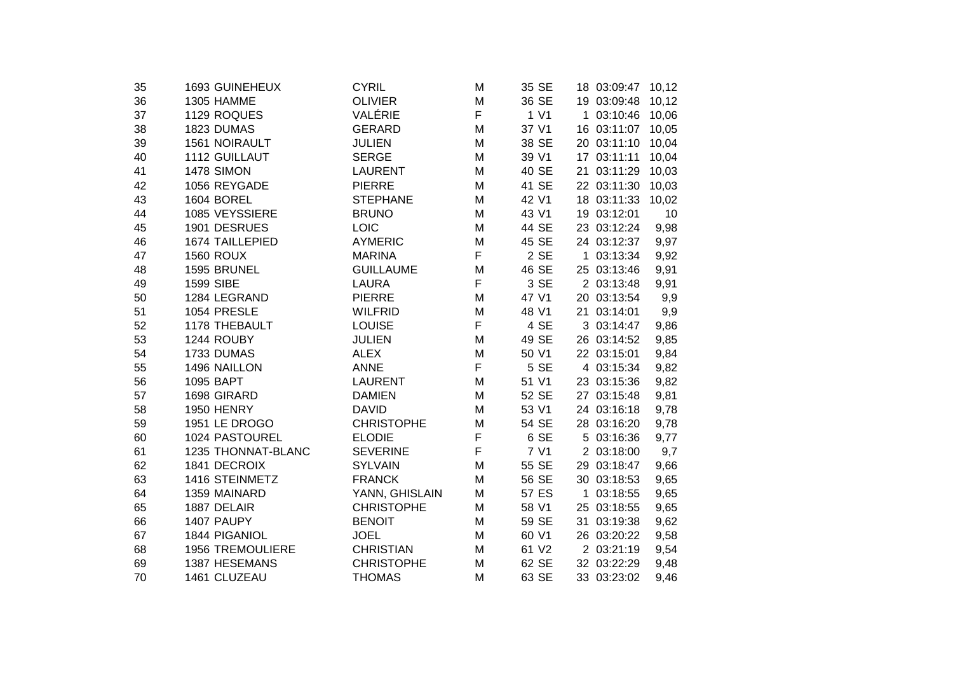| 35 | 1693 GUINEHEUX          | <b>CYRIL</b>      | M           | 35 SE |    | 18 03:09:47 | 10,12 |  |
|----|-------------------------|-------------------|-------------|-------|----|-------------|-------|--|
| 36 | 1305 HAMME              | <b>OLIVIER</b>    | M           | 36 SE |    | 19 03:09:48 | 10,12 |  |
| 37 | 1129 ROQUES             | VALÉRIE           | F           | 1 V1  |    | 1 03:10:46  | 10,06 |  |
| 38 | 1823 DUMAS              | <b>GERARD</b>     | M           | 37 V1 |    | 16 03:11:07 | 10,05 |  |
| 39 | 1561 NOIRAULT           | <b>JULIEN</b>     | M           | 38 SE |    | 20 03:11:10 | 10,04 |  |
| 40 | 1112 GUILLAUT           | <b>SERGE</b>      | M           | 39 V1 |    | 17 03:11:11 | 10,04 |  |
| 41 | <b>1478 SIMON</b>       | <b>LAURENT</b>    | M           | 40 SE | 21 | 03:11:29    | 10,03 |  |
| 42 | 1056 REYGADE            | <b>PIERRE</b>     | M           | 41 SE |    | 22 03:11:30 | 10,03 |  |
| 43 | 1604 BOREL              | <b>STEPHANE</b>   | M           | 42 V1 |    | 18 03:11:33 | 10,02 |  |
| 44 | 1085 VEYSSIERE          | <b>BRUNO</b>      | M           | 43 V1 |    | 19 03:12:01 | 10    |  |
| 45 | 1901 DESRUES            | LOIC              | M           | 44 SE |    | 23 03:12:24 | 9,98  |  |
| 46 | 1674 TAILLEPIED         | <b>AYMERIC</b>    | M           | 45 SE |    | 24 03:12:37 | 9,97  |  |
| 47 | <b>1560 ROUX</b>        | <b>MARINA</b>     | F           | 2 SE  |    | 1 03:13:34  | 9,92  |  |
| 48 | 1595 BRUNEL             | <b>GUILLAUME</b>  | M           | 46 SE |    | 25 03:13:46 | 9,91  |  |
| 49 | <b>1599 SIBE</b>        | <b>LAURA</b>      | F           | 3 SE  |    | 2 03:13:48  | 9,91  |  |
| 50 | 1284 LEGRAND            | <b>PIERRE</b>     | M           | 47 V1 |    | 20 03:13:54 | 9,9   |  |
| 51 | 1054 PRESLE             | <b>WILFRID</b>    | M           | 48 V1 |    | 21 03:14:01 | 9,9   |  |
| 52 | 1178 THEBAULT           | <b>LOUISE</b>     | F           | 4 SE  |    | 3 03:14:47  | 9,86  |  |
| 53 | 1244 ROUBY              | <b>JULIEN</b>     | M           | 49 SE |    | 26 03:14:52 | 9,85  |  |
| 54 | 1733 DUMAS              | <b>ALEX</b>       | M           | 50 V1 |    | 22 03:15:01 | 9,84  |  |
| 55 | 1496 NAILLON            | <b>ANNE</b>       | F           | 5 SE  |    | 4 03:15:34  | 9,82  |  |
| 56 | 1095 BAPT               | <b>LAURENT</b>    | M           | 51 V1 |    | 23 03:15:36 | 9,82  |  |
| 57 | 1698 GIRARD             | <b>DAMIEN</b>     | M           | 52 SE |    | 27 03:15:48 | 9,81  |  |
| 58 | <b>1950 HENRY</b>       | <b>DAVID</b>      | M           | 53 V1 |    | 24 03:16:18 | 9,78  |  |
| 59 | 1951 LE DROGO           | <b>CHRISTOPHE</b> | M           | 54 SE |    | 28 03:16:20 | 9,78  |  |
| 60 | 1024 PASTOUREL          | <b>ELODIE</b>     | $\mathsf F$ | 6 SE  |    | 5 03:16:36  | 9,77  |  |
| 61 | 1235 THONNAT-BLANC      | <b>SEVERINE</b>   | F           | 7 V1  |    | 2 03:18:00  | 9,7   |  |
| 62 | 1841 DECROIX            | <b>SYLVAIN</b>    | M           | 55 SE |    | 29 03:18:47 | 9,66  |  |
| 63 | 1416 STEINMETZ          | <b>FRANCK</b>     | M           | 56 SE |    | 30 03:18:53 | 9,65  |  |
| 64 | 1359 MAINARD            | YANN, GHISLAIN    | M           | 57 ES |    | 1 03:18:55  | 9,65  |  |
| 65 | 1887 DELAIR             | <b>CHRISTOPHE</b> | M           | 58 V1 |    | 25 03:18:55 | 9,65  |  |
| 66 | 1407 PAUPY              | <b>BENOIT</b>     | M           | 59 SE | 31 | 03:19:38    | 9,62  |  |
| 67 | 1844 PIGANIOL           | <b>JOEL</b>       | M           | 60 V1 |    | 26 03:20:22 | 9,58  |  |
| 68 | <b>1956 TREMOULIERE</b> | <b>CHRISTIAN</b>  | M           | 61 V2 |    | 2 03:21:19  | 9,54  |  |
| 69 | 1387 HESEMANS           | <b>CHRISTOPHE</b> | M           | 62 SE |    | 32 03:22:29 | 9,48  |  |
| 70 | 1461 CLUZEAU            | <b>THOMAS</b>     | M           | 63 SE |    | 33 03:23:02 | 9,46  |  |
|    |                         |                   |             |       |    |             |       |  |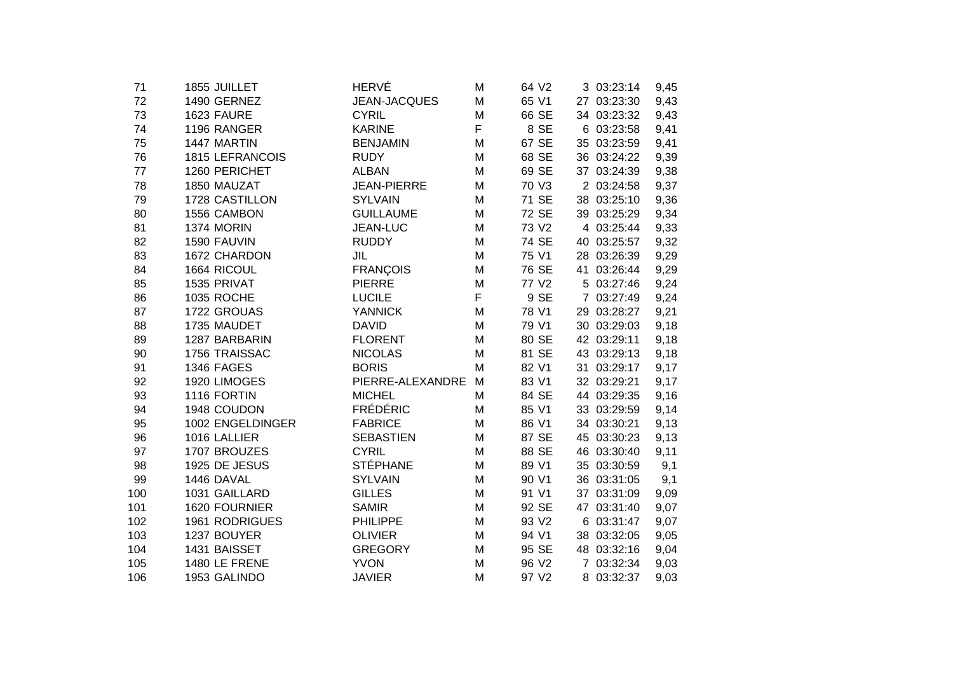| 71  | 1855 JUILLET           | HERVÉ              | M | 64 V2 |    | 3 03:23:14  | 9,45 |
|-----|------------------------|--------------------|---|-------|----|-------------|------|
| 72  | 1490 GERNEZ            | JEAN-JACQUES       | M | 65 V1 |    | 27 03:23:30 | 9,43 |
| 73  | 1623 FAURE             | <b>CYRIL</b>       | M | 66 SE |    | 34 03:23:32 | 9,43 |
| 74  | 1196 RANGER            | <b>KARINE</b>      | F | 8 SE  | 6  | 03:23:58    | 9,41 |
| 75  | 1447 MARTIN            | <b>BENJAMIN</b>    | M | 67 SE |    | 35 03:23:59 | 9,41 |
| 76  | <b>1815 LEFRANCOIS</b> | <b>RUDY</b>        | M | 68 SE | 36 | 03:24:22    | 9,39 |
| 77  | 1260 PERICHET          | <b>ALBAN</b>       | M | 69 SE |    | 37 03:24:39 | 9,38 |
| 78  | 1850 MAUZAT            | <b>JEAN-PIERRE</b> | M | 70 V3 |    | 2 03:24:58  | 9,37 |
| 79  | 1728 CASTILLON         | <b>SYLVAIN</b>     | M | 71 SE | 38 | 03:25:10    | 9,36 |
| 80  | 1556 CAMBON            | <b>GUILLAUME</b>   | M | 72 SE |    | 39 03:25:29 | 9,34 |
| 81  | <b>1374 MORIN</b>      | JEAN-LUC           | M | 73 V2 |    | 4 03:25:44  | 9,33 |
| 82  | 1590 FAUVIN            | <b>RUDDY</b>       | M | 74 SE | 40 | 03:25:57    | 9,32 |
| 83  | 1672 CHARDON           | <b>JIL</b>         | M | 75 V1 |    | 28 03:26:39 | 9,29 |
| 84  | 1664 RICOUL            | <b>FRANÇOIS</b>    | M | 76 SE |    | 41 03:26:44 | 9,29 |
| 85  | 1535 PRIVAT            | <b>PIERRE</b>      | M | 77 V2 |    | 5 03:27:46  | 9,24 |
| 86  | 1035 ROCHE             | <b>LUCILE</b>      | F | 9 SE  |    | 7 03:27:49  | 9,24 |
| 87  | 1722 GROUAS            | <b>YANNICK</b>     | M | 78 V1 |    | 29 03:28:27 | 9,21 |
| 88  | 1735 MAUDET            | <b>DAVID</b>       | M | 79 V1 |    | 30 03:29:03 | 9,18 |
| 89  | 1287 BARBARIN          | <b>FLORENT</b>     | M | 80 SE |    | 42 03:29:11 | 9,18 |
| 90  | 1756 TRAISSAC          | <b>NICOLAS</b>     | M | 81 SE |    | 43 03:29:13 | 9,18 |
| 91  | <b>1346 FAGES</b>      | <b>BORIS</b>       | M | 82 V1 |    | 31 03:29:17 | 9,17 |
| 92  | 1920 LIMOGES           | PIERRE-ALEXANDRE   | M | 83 V1 |    | 32 03:29:21 | 9,17 |
| 93  | 1116 FORTIN            | <b>MICHEL</b>      | M | 84 SE |    | 44 03:29:35 | 9,16 |
| 94  | 1948 COUDON            | <b>FRÉDÉRIC</b>    | M | 85 V1 |    | 33 03:29:59 | 9,14 |
| 95  | 1002 ENGELDINGER       | <b>FABRICE</b>     | M | 86 V1 |    | 34 03:30:21 | 9,13 |
| 96  | 1016 LALLIER           | <b>SEBASTIEN</b>   | M | 87 SE |    | 45 03:30:23 | 9,13 |
| 97  | 1707 BROUZES           | <b>CYRIL</b>       | M | 88 SE |    | 46 03:30:40 | 9,11 |
| 98  | 1925 DE JESUS          | <b>STÉPHANE</b>    | M | 89 V1 | 35 | 03:30:59    | 9,1  |
| 99  | 1446 DAVAL             | <b>SYLVAIN</b>     | M | 90 V1 |    | 36 03:31:05 | 9,1  |
| 100 | 1031 GAILLARD          | <b>GILLES</b>      | M | 91 V1 |    | 37 03:31:09 | 9,09 |
| 101 | 1620 FOURNIER          | <b>SAMIR</b>       | M | 92 SE |    | 47 03:31:40 | 9,07 |
| 102 | 1961 RODRIGUES         | <b>PHILIPPE</b>    | M | 93 V2 |    | 6 03:31:47  | 9,07 |
| 103 | 1237 BOUYER            | <b>OLIVIER</b>     | M | 94 V1 | 38 | 03:32:05    | 9,05 |
| 104 | 1431 BAISSET           | <b>GREGORY</b>     | M | 95 SE |    | 48 03:32:16 | 9,04 |
| 105 | 1480 LE FRENE          | <b>YVON</b>        | M | 96 V2 |    | 7 03:32:34  | 9,03 |
| 106 | 1953 GALINDO           | <b>JAVIER</b>      | M | 97 V2 |    | 8 03:32:37  | 9,03 |
|     |                        |                    |   |       |    |             |      |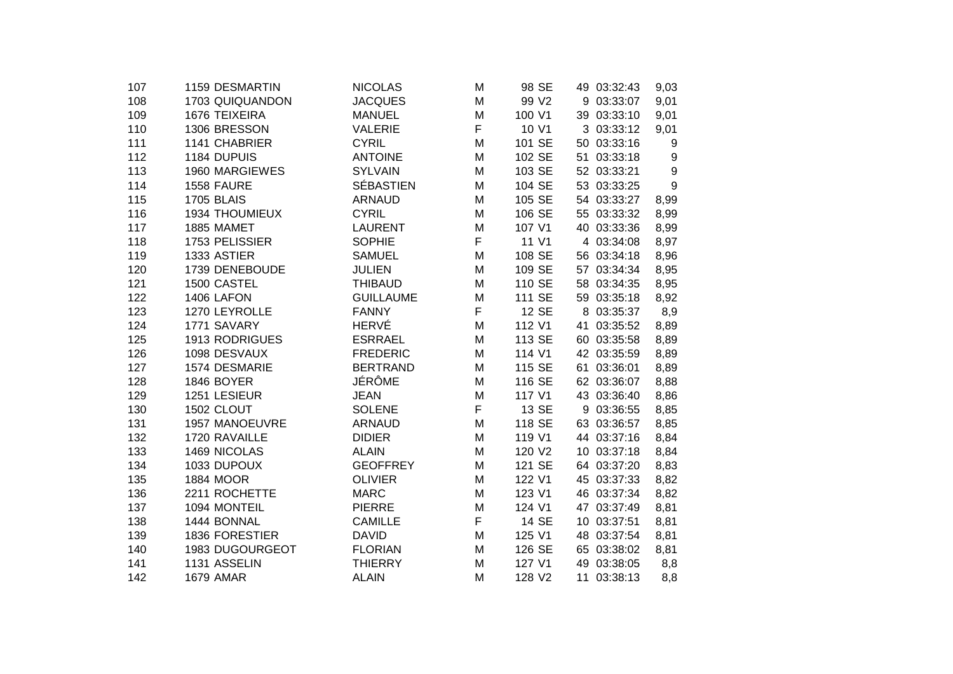| 1159 DESMARTIN    | <b>NICOLAS</b>                                                                                                                                                                                             | М                                                                                                                                                                                             | 98 SE             |                                                                                                 |          | 9,03                                                                                                                                                                                                                                                                                                                                                                                                                                                                                                                                       |
|-------------------|------------------------------------------------------------------------------------------------------------------------------------------------------------------------------------------------------------|-----------------------------------------------------------------------------------------------------------------------------------------------------------------------------------------------|-------------------|-------------------------------------------------------------------------------------------------|----------|--------------------------------------------------------------------------------------------------------------------------------------------------------------------------------------------------------------------------------------------------------------------------------------------------------------------------------------------------------------------------------------------------------------------------------------------------------------------------------------------------------------------------------------------|
| 1703 QUIQUANDON   | <b>JACQUES</b>                                                                                                                                                                                             | M                                                                                                                                                                                             | 99 V <sub>2</sub> |                                                                                                 |          | 9,01                                                                                                                                                                                                                                                                                                                                                                                                                                                                                                                                       |
| 1676 TEIXEIRA     | <b>MANUEL</b>                                                                                                                                                                                              | M                                                                                                                                                                                             | 100 V1            |                                                                                                 |          | 9,01                                                                                                                                                                                                                                                                                                                                                                                                                                                                                                                                       |
| 1306 BRESSON      | <b>VALERIE</b>                                                                                                                                                                                             | F                                                                                                                                                                                             | 10 V1             |                                                                                                 |          | 9,01                                                                                                                                                                                                                                                                                                                                                                                                                                                                                                                                       |
| 1141 CHABRIER     | <b>CYRIL</b>                                                                                                                                                                                               | M                                                                                                                                                                                             | 101 SE            |                                                                                                 |          | 9                                                                                                                                                                                                                                                                                                                                                                                                                                                                                                                                          |
| 1184 DUPUIS       | <b>ANTOINE</b>                                                                                                                                                                                             | M                                                                                                                                                                                             | 102 SE            |                                                                                                 | 03:33:18 | 9                                                                                                                                                                                                                                                                                                                                                                                                                                                                                                                                          |
| 1960 MARGIEWES    | <b>SYLVAIN</b>                                                                                                                                                                                             | M                                                                                                                                                                                             | 103 SE            |                                                                                                 |          | 9                                                                                                                                                                                                                                                                                                                                                                                                                                                                                                                                          |
| <b>1558 FAURE</b> | <b>SÉBASTIEN</b>                                                                                                                                                                                           | M                                                                                                                                                                                             | 104 SE            |                                                                                                 |          | 9                                                                                                                                                                                                                                                                                                                                                                                                                                                                                                                                          |
| <b>1705 BLAIS</b> | <b>ARNAUD</b>                                                                                                                                                                                              | M                                                                                                                                                                                             | 105 SE            |                                                                                                 |          | 8,99                                                                                                                                                                                                                                                                                                                                                                                                                                                                                                                                       |
| 1934 THOUMIEUX    | <b>CYRIL</b>                                                                                                                                                                                               | M                                                                                                                                                                                             | 106 SE            |                                                                                                 |          | 8,99                                                                                                                                                                                                                                                                                                                                                                                                                                                                                                                                       |
| 1885 MAMET        | <b>LAURENT</b>                                                                                                                                                                                             | м                                                                                                                                                                                             | 107 V1            |                                                                                                 |          | 8,99                                                                                                                                                                                                                                                                                                                                                                                                                                                                                                                                       |
| 1753 PELISSIER    | <b>SOPHIE</b>                                                                                                                                                                                              | F                                                                                                                                                                                             | 11 V1             |                                                                                                 |          | 8,97                                                                                                                                                                                                                                                                                                                                                                                                                                                                                                                                       |
| 1333 ASTIER       | <b>SAMUEL</b>                                                                                                                                                                                              | M                                                                                                                                                                                             | 108 SE            |                                                                                                 |          | 8,96                                                                                                                                                                                                                                                                                                                                                                                                                                                                                                                                       |
| 1739 DENEBOUDE    | <b>JULIEN</b>                                                                                                                                                                                              | M                                                                                                                                                                                             | 109 SE            |                                                                                                 |          | 8,95                                                                                                                                                                                                                                                                                                                                                                                                                                                                                                                                       |
| 1500 CASTEL       | <b>THIBAUD</b>                                                                                                                                                                                             | M                                                                                                                                                                                             | 110 SE            |                                                                                                 |          | 8,95                                                                                                                                                                                                                                                                                                                                                                                                                                                                                                                                       |
| 1406 LAFON        | <b>GUILLAUME</b>                                                                                                                                                                                           | M                                                                                                                                                                                             | 111 SE            |                                                                                                 |          | 8,92                                                                                                                                                                                                                                                                                                                                                                                                                                                                                                                                       |
| 1270 LEYROLLE     | <b>FANNY</b>                                                                                                                                                                                               | F                                                                                                                                                                                             | 12 SE             |                                                                                                 |          | 8,9                                                                                                                                                                                                                                                                                                                                                                                                                                                                                                                                        |
| 1771 SAVARY       |                                                                                                                                                                                                            | M                                                                                                                                                                                             | 112 V1            |                                                                                                 |          | 8,89                                                                                                                                                                                                                                                                                                                                                                                                                                                                                                                                       |
|                   | <b>ESRRAEL</b>                                                                                                                                                                                             | M                                                                                                                                                                                             | 113 SE            |                                                                                                 |          | 8,89                                                                                                                                                                                                                                                                                                                                                                                                                                                                                                                                       |
|                   |                                                                                                                                                                                                            | M                                                                                                                                                                                             | 114 V1            |                                                                                                 |          | 8,89                                                                                                                                                                                                                                                                                                                                                                                                                                                                                                                                       |
| 1574 DESMARIE     |                                                                                                                                                                                                            | м                                                                                                                                                                                             | 115 SE            |                                                                                                 |          | 8,89                                                                                                                                                                                                                                                                                                                                                                                                                                                                                                                                       |
|                   |                                                                                                                                                                                                            | M                                                                                                                                                                                             |                   |                                                                                                 |          | 8,88                                                                                                                                                                                                                                                                                                                                                                                                                                                                                                                                       |
| 1251 LESIEUR      | <b>JEAN</b>                                                                                                                                                                                                | M                                                                                                                                                                                             | 117 V1            |                                                                                                 |          | 8,86                                                                                                                                                                                                                                                                                                                                                                                                                                                                                                                                       |
| 1502 CLOUT        | <b>SOLENE</b>                                                                                                                                                                                              |                                                                                                                                                                                               | 13 SE             |                                                                                                 |          | 8,85                                                                                                                                                                                                                                                                                                                                                                                                                                                                                                                                       |
|                   |                                                                                                                                                                                                            | M                                                                                                                                                                                             |                   |                                                                                                 |          | 8,85                                                                                                                                                                                                                                                                                                                                                                                                                                                                                                                                       |
| 1720 RAVAILLE     | <b>DIDIER</b>                                                                                                                                                                                              | M                                                                                                                                                                                             |                   |                                                                                                 |          | 8,84                                                                                                                                                                                                                                                                                                                                                                                                                                                                                                                                       |
|                   |                                                                                                                                                                                                            | M                                                                                                                                                                                             |                   |                                                                                                 |          | 8,84                                                                                                                                                                                                                                                                                                                                                                                                                                                                                                                                       |
|                   |                                                                                                                                                                                                            | M                                                                                                                                                                                             |                   |                                                                                                 |          | 8,83                                                                                                                                                                                                                                                                                                                                                                                                                                                                                                                                       |
|                   |                                                                                                                                                                                                            | M                                                                                                                                                                                             |                   |                                                                                                 |          | 8,82                                                                                                                                                                                                                                                                                                                                                                                                                                                                                                                                       |
|                   |                                                                                                                                                                                                            |                                                                                                                                                                                               |                   |                                                                                                 |          | 8,82                                                                                                                                                                                                                                                                                                                                                                                                                                                                                                                                       |
|                   |                                                                                                                                                                                                            | M                                                                                                                                                                                             |                   |                                                                                                 |          | 8,81                                                                                                                                                                                                                                                                                                                                                                                                                                                                                                                                       |
|                   |                                                                                                                                                                                                            |                                                                                                                                                                                               |                   |                                                                                                 |          | 8,81                                                                                                                                                                                                                                                                                                                                                                                                                                                                                                                                       |
|                   |                                                                                                                                                                                                            | M                                                                                                                                                                                             |                   |                                                                                                 |          | 8,81                                                                                                                                                                                                                                                                                                                                                                                                                                                                                                                                       |
| 1983 DUGOURGEOT   | <b>FLORIAN</b>                                                                                                                                                                                             | м                                                                                                                                                                                             | 126 SE            |                                                                                                 |          | 8,81                                                                                                                                                                                                                                                                                                                                                                                                                                                                                                                                       |
|                   | <b>THIERRY</b>                                                                                                                                                                                             | M                                                                                                                                                                                             | 127 V1            |                                                                                                 |          | 8,8                                                                                                                                                                                                                                                                                                                                                                                                                                                                                                                                        |
| <b>1679 AMAR</b>  | <b>ALAIN</b>                                                                                                                                                                                               | M                                                                                                                                                                                             | 128 V2            |                                                                                                 |          | 8,8                                                                                                                                                                                                                                                                                                                                                                                                                                                                                                                                        |
|                   | <b>1913 RODRIGUES</b><br>1098 DESVAUX<br>1846 BOYER<br>1957 MANOEUVRE<br>1469 NICOLAS<br>1033 DUPOUX<br><b>1884 MOOR</b><br>2211 ROCHETTE<br>1094 MONTEIL<br>1444 BONNAL<br>1836 FORESTIER<br>1131 ASSELIN | HERVÉ<br><b>FREDERIC</b><br><b>BERTRAND</b><br>JÉRÔME<br><b>ARNAUD</b><br><b>ALAIN</b><br><b>GEOFFREY</b><br><b>OLIVIER</b><br><b>MARC</b><br><b>PIERRE</b><br><b>CAMILLE</b><br><b>DAVID</b> | F<br>M<br>F       | 116 SE<br>118 SE<br>119 V1<br>120 V2<br>121 SE<br>122 V1<br>123 V1<br>124 V1<br>14 SE<br>125 V1 |          | 49 03:32:43<br>9 03:33:07<br>39 03:33:10<br>3 03:33:12<br>50 03:33:16<br>51<br>52 03:33:21<br>53 03:33:25<br>54 03:33:27<br>55 03:33:32<br>40 03:33:36<br>4 03:34:08<br>56 03:34:18<br>57 03:34:34<br>58 03:34:35<br>59 03:35:18<br>8 03:35:37<br>41 03:35:52<br>60 03:35:58<br>42 03:35:59<br>61 03:36:01<br>62 03:36:07<br>43 03:36:40<br>9 03:36:55<br>63 03:36:57<br>44 03:37:16<br>10 03:37:18<br>64 03:37:20<br>45 03:37:33<br>46 03:37:34<br>47 03:37:49<br>10 03:37:51<br>48 03:37:54<br>65 03:38:02<br>49 03:38:05<br>11 03:38:13 |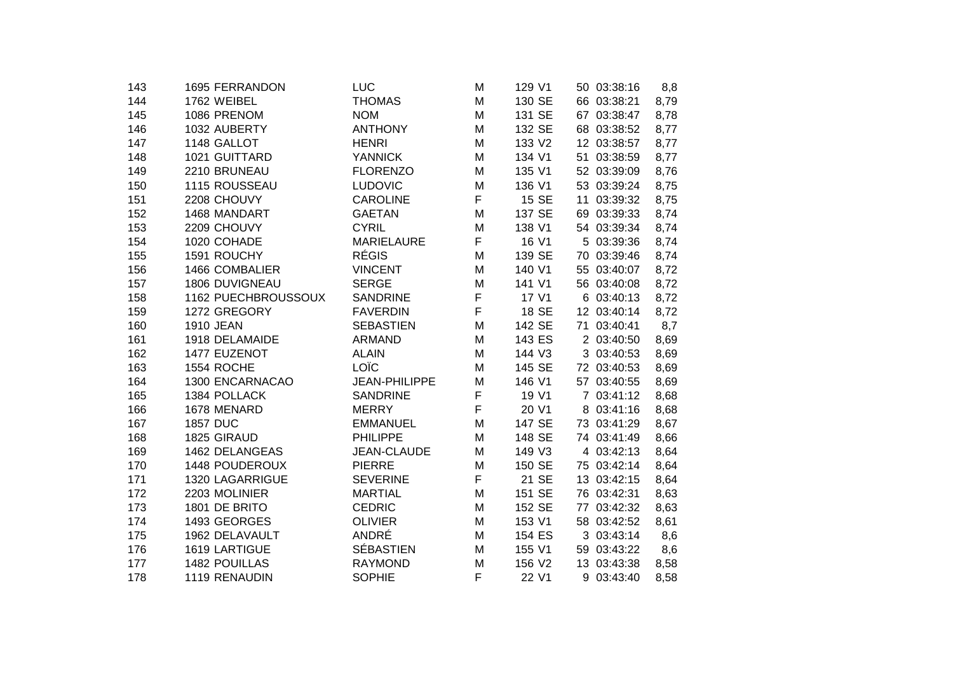| 1695 FERRANDON      | LUC                                                                                                                                                                                                           | Μ                                                                                                                                                                | 129 V1                     |                                                                             |          | 8,8                                                                                                                                                                                                                                                                                                                                                                                                                                                                                                                                       |
|---------------------|---------------------------------------------------------------------------------------------------------------------------------------------------------------------------------------------------------------|------------------------------------------------------------------------------------------------------------------------------------------------------------------|----------------------------|-----------------------------------------------------------------------------|----------|-------------------------------------------------------------------------------------------------------------------------------------------------------------------------------------------------------------------------------------------------------------------------------------------------------------------------------------------------------------------------------------------------------------------------------------------------------------------------------------------------------------------------------------------|
| 1762 WEIBEL         | <b>THOMAS</b>                                                                                                                                                                                                 | M                                                                                                                                                                | 130 SE                     |                                                                             |          | 8,79                                                                                                                                                                                                                                                                                                                                                                                                                                                                                                                                      |
| 1086 PRENOM         | <b>NOM</b>                                                                                                                                                                                                    | Μ                                                                                                                                                                | 131 SE                     |                                                                             |          | 8,78                                                                                                                                                                                                                                                                                                                                                                                                                                                                                                                                      |
| 1032 AUBERTY        | <b>ANTHONY</b>                                                                                                                                                                                                | M                                                                                                                                                                | 132 SE                     |                                                                             |          | 8,77                                                                                                                                                                                                                                                                                                                                                                                                                                                                                                                                      |
| 1148 GALLOT         | <b>HENRI</b>                                                                                                                                                                                                  | Μ                                                                                                                                                                | 133 V2                     |                                                                             |          | 8,77                                                                                                                                                                                                                                                                                                                                                                                                                                                                                                                                      |
| 1021 GUITTARD       | <b>YANNICK</b>                                                                                                                                                                                                | Μ                                                                                                                                                                | 134 V1                     |                                                                             | 03:38:59 | 8,77                                                                                                                                                                                                                                                                                                                                                                                                                                                                                                                                      |
| 2210 BRUNEAU        | <b>FLORENZO</b>                                                                                                                                                                                               | Μ                                                                                                                                                                | 135 V1                     |                                                                             |          | 8,76                                                                                                                                                                                                                                                                                                                                                                                                                                                                                                                                      |
| 1115 ROUSSEAU       | <b>LUDOVIC</b>                                                                                                                                                                                                | M                                                                                                                                                                | 136 V1                     |                                                                             |          | 8,75                                                                                                                                                                                                                                                                                                                                                                                                                                                                                                                                      |
| 2208 CHOUVY         | <b>CAROLINE</b>                                                                                                                                                                                               | F                                                                                                                                                                | 15 SE                      |                                                                             |          | 8,75                                                                                                                                                                                                                                                                                                                                                                                                                                                                                                                                      |
| 1468 MANDART        | <b>GAETAN</b>                                                                                                                                                                                                 | М                                                                                                                                                                | 137 SE                     |                                                                             |          | 8,74                                                                                                                                                                                                                                                                                                                                                                                                                                                                                                                                      |
| 2209 CHOUVY         | <b>CYRIL</b>                                                                                                                                                                                                  | M                                                                                                                                                                | 138 V1                     |                                                                             |          | 8,74                                                                                                                                                                                                                                                                                                                                                                                                                                                                                                                                      |
| 1020 COHADE         | <b>MARIELAURE</b>                                                                                                                                                                                             | F                                                                                                                                                                | 16 V1                      |                                                                             |          | 8,74                                                                                                                                                                                                                                                                                                                                                                                                                                                                                                                                      |
| 1591 ROUCHY         |                                                                                                                                                                                                               | Μ                                                                                                                                                                | 139 SE                     |                                                                             |          | 8,74                                                                                                                                                                                                                                                                                                                                                                                                                                                                                                                                      |
| 1466 COMBALIER      | <b>VINCENT</b>                                                                                                                                                                                                | Μ                                                                                                                                                                | 140 V1                     |                                                                             |          | 8,72                                                                                                                                                                                                                                                                                                                                                                                                                                                                                                                                      |
| 1806 DUVIGNEAU      | <b>SERGE</b>                                                                                                                                                                                                  | M                                                                                                                                                                | 141 V1                     |                                                                             |          | 8,72                                                                                                                                                                                                                                                                                                                                                                                                                                                                                                                                      |
| 1162 PUECHBROUSSOUX | <b>SANDRINE</b>                                                                                                                                                                                               |                                                                                                                                                                  | 17 V1                      |                                                                             |          | 8,72                                                                                                                                                                                                                                                                                                                                                                                                                                                                                                                                      |
|                     | <b>FAVERDIN</b>                                                                                                                                                                                               |                                                                                                                                                                  | 18 SE                      |                                                                             |          | 8,72                                                                                                                                                                                                                                                                                                                                                                                                                                                                                                                                      |
| 1910 JEAN           | <b>SEBASTIEN</b>                                                                                                                                                                                              | M                                                                                                                                                                | 142 SE                     |                                                                             |          | 8,7                                                                                                                                                                                                                                                                                                                                                                                                                                                                                                                                       |
| 1918 DELAMAIDE      | <b>ARMAND</b>                                                                                                                                                                                                 | Μ                                                                                                                                                                | 143 ES                     |                                                                             |          | 8,69                                                                                                                                                                                                                                                                                                                                                                                                                                                                                                                                      |
| 1477 EUZENOT        | <b>ALAIN</b>                                                                                                                                                                                                  | M                                                                                                                                                                | 144 V3                     |                                                                             |          | 8,69                                                                                                                                                                                                                                                                                                                                                                                                                                                                                                                                      |
| 1554 ROCHE          |                                                                                                                                                                                                               | м                                                                                                                                                                | 145 SE                     |                                                                             |          | 8,69                                                                                                                                                                                                                                                                                                                                                                                                                                                                                                                                      |
|                     | <b>JEAN-PHILIPPE</b>                                                                                                                                                                                          | M                                                                                                                                                                |                            |                                                                             |          | 8,69                                                                                                                                                                                                                                                                                                                                                                                                                                                                                                                                      |
| 1384 POLLACK        | <b>SANDRINE</b>                                                                                                                                                                                               |                                                                                                                                                                  | 19 V1                      |                                                                             |          | 8,68                                                                                                                                                                                                                                                                                                                                                                                                                                                                                                                                      |
| 1678 MENARD         | <b>MERRY</b>                                                                                                                                                                                                  |                                                                                                                                                                  | 20 V1                      |                                                                             |          | 8,68                                                                                                                                                                                                                                                                                                                                                                                                                                                                                                                                      |
|                     | <b>EMMANUEL</b>                                                                                                                                                                                               | M                                                                                                                                                                |                            |                                                                             |          | 8,67                                                                                                                                                                                                                                                                                                                                                                                                                                                                                                                                      |
|                     | <b>PHILIPPE</b>                                                                                                                                                                                               | Μ                                                                                                                                                                | 148 SE                     |                                                                             |          | 8,66                                                                                                                                                                                                                                                                                                                                                                                                                                                                                                                                      |
|                     |                                                                                                                                                                                                               | M                                                                                                                                                                |                            |                                                                             |          | 8,64                                                                                                                                                                                                                                                                                                                                                                                                                                                                                                                                      |
|                     |                                                                                                                                                                                                               | M                                                                                                                                                                | 150 SE                     |                                                                             |          | 8,64                                                                                                                                                                                                                                                                                                                                                                                                                                                                                                                                      |
|                     |                                                                                                                                                                                                               |                                                                                                                                                                  |                            |                                                                             |          | 8,64                                                                                                                                                                                                                                                                                                                                                                                                                                                                                                                                      |
|                     |                                                                                                                                                                                                               |                                                                                                                                                                  |                            |                                                                             |          | 8,63                                                                                                                                                                                                                                                                                                                                                                                                                                                                                                                                      |
|                     |                                                                                                                                                                                                               | M                                                                                                                                                                |                            |                                                                             |          | 8,63                                                                                                                                                                                                                                                                                                                                                                                                                                                                                                                                      |
|                     |                                                                                                                                                                                                               | Μ                                                                                                                                                                |                            |                                                                             |          | 8,61                                                                                                                                                                                                                                                                                                                                                                                                                                                                                                                                      |
|                     |                                                                                                                                                                                                               | Μ                                                                                                                                                                |                            |                                                                             |          | 8,6                                                                                                                                                                                                                                                                                                                                                                                                                                                                                                                                       |
| 1619 LARTIGUE       |                                                                                                                                                                                                               | М                                                                                                                                                                | 155 V1                     |                                                                             |          | 8,6                                                                                                                                                                                                                                                                                                                                                                                                                                                                                                                                       |
|                     | <b>RAYMOND</b>                                                                                                                                                                                                | M                                                                                                                                                                | 156 V2                     |                                                                             |          | 8,58                                                                                                                                                                                                                                                                                                                                                                                                                                                                                                                                      |
| 1119 RENAUDIN       | <b>SOPHIE</b>                                                                                                                                                                                                 | F                                                                                                                                                                | 22 V1                      |                                                                             |          | 8,58                                                                                                                                                                                                                                                                                                                                                                                                                                                                                                                                      |
|                     | 1272 GREGORY<br>1300 ENCARNACAO<br><b>1857 DUC</b><br>1825 GIRAUD<br>1462 DELANGEAS<br>1448 POUDEROUX<br>1320 LAGARRIGUE<br>2203 MOLINIER<br>1801 DE BRITO<br>1493 GEORGES<br>1962 DELAVAULT<br>1482 POUILLAS | <b>RÉGIS</b><br>LOÏC<br><b>JEAN-CLAUDE</b><br><b>PIERRE</b><br><b>SEVERINE</b><br><b>MARTIAL</b><br><b>CEDRIC</b><br><b>OLIVIER</b><br>ANDRÉ<br><b>SÉBASTIEN</b> | F<br>F<br>F<br>F<br>F<br>M | 146 V1<br>147 SE<br>149 V3<br>21 SE<br>151 SE<br>152 SE<br>153 V1<br>154 ES |          | 50 03:38:16<br>66 03:38:21<br>67 03:38:47<br>68 03:38:52<br>12 03:38:57<br>51<br>52 03:39:09<br>53 03:39:24<br>11 03:39:32<br>69 03:39:33<br>54 03:39:34<br>5 03:39:36<br>70 03:39:46<br>55 03:40:07<br>56 03:40:08<br>6 03:40:13<br>12 03:40:14<br>71 03:40:41<br>2 03:40:50<br>3 03:40:53<br>72 03:40:53<br>57 03:40:55<br>7 03:41:12<br>8 03:41:16<br>73 03:41:29<br>74 03:41:49<br>4 03:42:13<br>75 03:42:14<br>13 03:42:15<br>76 03:42:31<br>03:42:32<br>77<br>58 03:42:52<br>3 03:43:14<br>59 03:43:22<br>13 03:43:38<br>9 03:43:40 |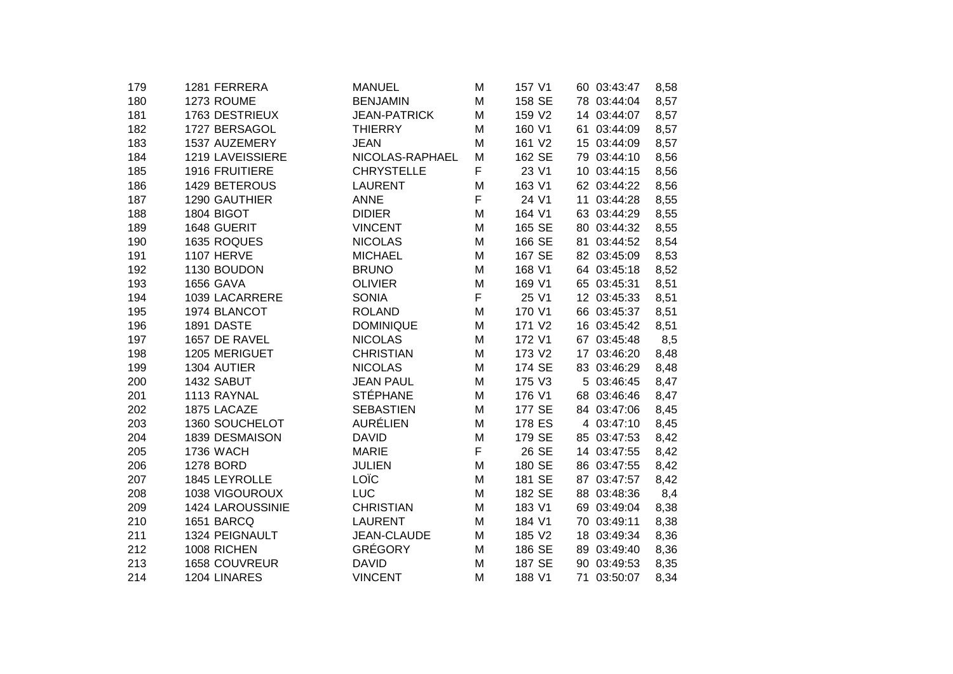| 179 | 1281 FERRERA          | <b>MANUEL</b>       | M | 157 V1 | 60 03:43:47 | 8,58 |
|-----|-----------------------|---------------------|---|--------|-------------|------|
| 180 | 1273 ROUME            | <b>BENJAMIN</b>     | M | 158 SE | 78 03:44:04 | 8,57 |
| 181 | 1763 DESTRIEUX        | <b>JEAN-PATRICK</b> | M | 159 V2 | 14 03:44:07 | 8,57 |
| 182 | 1727 BERSAGOL         | <b>THIERRY</b>      | M | 160 V1 | 61 03:44:09 | 8,57 |
| 183 | 1537 AUZEMERY         | <b>JEAN</b>         | M | 161 V2 | 15 03:44:09 | 8,57 |
| 184 | 1219 LAVEISSIERE      | NICOLAS-RAPHAEL     | M | 162 SE | 79 03:44:10 | 8,56 |
| 185 | <b>1916 FRUITIERE</b> | <b>CHRYSTELLE</b>   | F | 23 V1  | 10 03:44:15 | 8,56 |
| 186 | 1429 BETEROUS         | <b>LAURENT</b>      | M | 163 V1 | 62 03:44:22 | 8,56 |
| 187 | 1290 GAUTHIER         | <b>ANNE</b>         | F | 24 V1  | 11 03:44:28 | 8,55 |
| 188 | 1804 BIGOT            | <b>DIDIER</b>       | M | 164 V1 | 63 03:44:29 | 8,55 |
| 189 | 1648 GUERIT           | <b>VINCENT</b>      | M | 165 SE | 80 03:44:32 | 8,55 |
| 190 | 1635 ROQUES           | <b>NICOLAS</b>      | M | 166 SE | 81 03:44:52 | 8,54 |
| 191 | <b>1107 HERVE</b>     | <b>MICHAEL</b>      | M | 167 SE | 82 03:45:09 | 8,53 |
| 192 | 1130 BOUDON           | <b>BRUNO</b>        | M | 168 V1 | 64 03:45:18 | 8,52 |
| 193 | <b>1656 GAVA</b>      | <b>OLIVIER</b>      | M | 169 V1 | 65 03:45:31 | 8,51 |
| 194 | 1039 LACARRERE        | <b>SONIA</b>        | F | 25 V1  | 12 03:45:33 | 8,51 |
| 195 | 1974 BLANCOT          | <b>ROLAND</b>       | M | 170 V1 | 66 03:45:37 | 8,51 |
| 196 | 1891 DASTE            | <b>DOMINIQUE</b>    | M | 171 V2 | 16 03:45:42 | 8,51 |
| 197 | 1657 DE RAVEL         | <b>NICOLAS</b>      | M | 172 V1 | 67 03:45:48 | 8,5  |
| 198 | 1205 MERIGUET         | <b>CHRISTIAN</b>    | M | 173 V2 | 17 03:46:20 | 8,48 |
| 199 | 1304 AUTIER           | <b>NICOLAS</b>      | M | 174 SE | 83 03:46:29 | 8,48 |
| 200 | 1432 SABUT            | <b>JEAN PAUL</b>    | M | 175 V3 | 5 03:46:45  | 8,47 |
| 201 | 1113 RAYNAL           | <b>STÉPHANE</b>     | M | 176 V1 | 68 03:46:46 | 8,47 |
| 202 | 1875 LACAZE           | <b>SEBASTIEN</b>    | M | 177 SE | 84 03:47:06 | 8,45 |
| 203 | 1360 SOUCHELOT        | <b>AURÉLIEN</b>     | M | 178 ES | 4 03:47:10  | 8,45 |
| 204 | 1839 DESMAISON        | <b>DAVID</b>        | M | 179 SE | 85 03:47:53 | 8,42 |
| 205 | <b>1736 WACH</b>      | <b>MARIE</b>        | F | 26 SE  | 14 03:47:55 | 8,42 |
| 206 | 1278 BORD             | <b>JULIEN</b>       | M | 180 SE | 86 03:47:55 | 8,42 |
| 207 | 1845 LEYROLLE         | LOÏC                | M | 181 SE | 87 03:47:57 | 8,42 |
| 208 | 1038 VIGOUROUX        | <b>LUC</b>          | M | 182 SE | 88 03:48:36 | 8,4  |
| 209 | 1424 LAROUSSINIE      | <b>CHRISTIAN</b>    | M | 183 V1 | 69 03:49:04 | 8,38 |
| 210 | 1651 BARCQ            | <b>LAURENT</b>      | M | 184 V1 | 70 03:49:11 | 8,38 |
| 211 | 1324 PEIGNAULT        | <b>JEAN-CLAUDE</b>  | M | 185 V2 | 18 03:49:34 | 8,36 |
| 212 | 1008 RICHEN           | <b>GRÉGORY</b>      | м | 186 SE | 89 03:49:40 | 8,36 |
| 213 | 1658 COUVREUR         | <b>DAVID</b>        | M | 187 SE | 90 03:49:53 | 8,35 |
| 214 | 1204 LINARES          | <b>VINCENT</b>      | M | 188 V1 | 71 03:50:07 | 8,34 |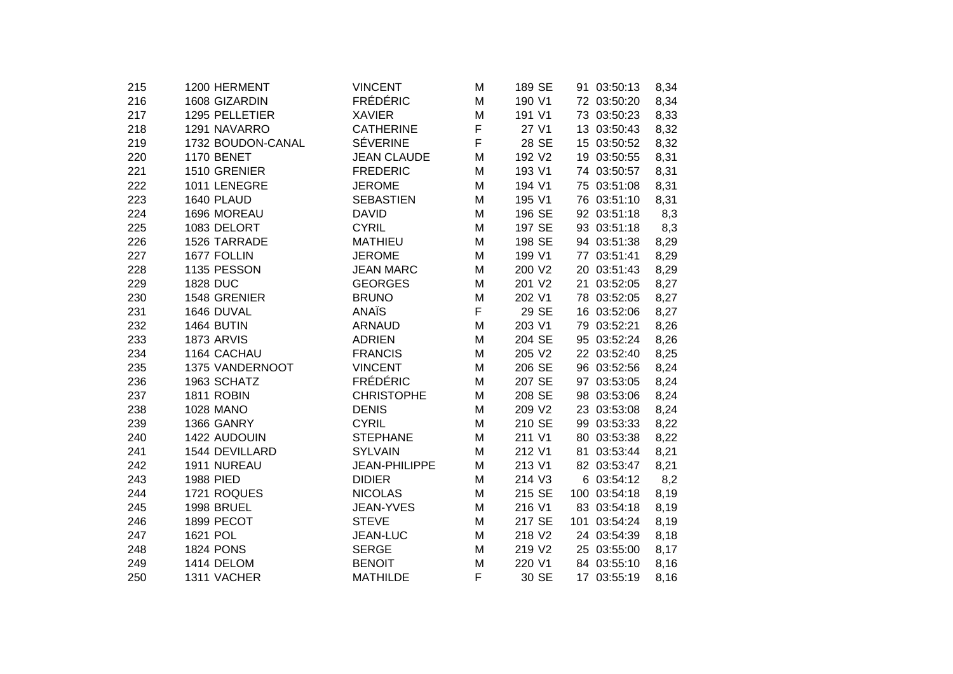| 215 | 1200 HERMENT      | <b>VINCENT</b>     | M | 189 SE | 91 03:50:13  | 8,34 |
|-----|-------------------|--------------------|---|--------|--------------|------|
| 216 | 1608 GIZARDIN     | <b>FRÉDÉRIC</b>    | M | 190 V1 | 72 03:50:20  | 8,34 |
| 217 | 1295 PELLETIER    | <b>XAVIER</b>      | M | 191 V1 | 73 03:50:23  | 8,33 |
| 218 | 1291 NAVARRO      | <b>CATHERINE</b>   | F | 27 V1  | 13 03:50:43  | 8,32 |
| 219 | 1732 BOUDON-CANAL | <b>SÉVERINE</b>    | F | 28 SE  | 15 03:50:52  | 8,32 |
| 220 | <b>1170 BENET</b> | <b>JEAN CLAUDE</b> | M | 192 V2 | 19 03:50:55  | 8,31 |
| 221 | 1510 GRENIER      | <b>FREDERIC</b>    | M | 193 V1 | 74 03:50:57  | 8,31 |
| 222 | 1011 LENEGRE      | <b>JEROME</b>      | м | 194 V1 | 75 03:51:08  | 8,31 |
| 223 | 1640 PLAUD        | <b>SEBASTIEN</b>   | M | 195 V1 | 76 03:51:10  | 8,31 |
| 224 | 1696 MOREAU       | <b>DAVID</b>       | M | 196 SE | 92 03:51:18  | 8,3  |
| 225 | 1083 DELORT       | <b>CYRIL</b>       | M | 197 SE | 93 03:51:18  | 8,3  |
| 226 | 1526 TARRADE      | <b>MATHIEU</b>     | M | 198 SE | 94 03:51:38  | 8,29 |
| 227 | 1677 FOLLIN       | <b>JEROME</b>      | M | 199 V1 | 77 03:51:41  | 8,29 |
| 228 | 1135 PESSON       | <b>JEAN MARC</b>   | M | 200 V2 | 20 03:51:43  | 8,29 |
| 229 | 1828 DUC          | <b>GEORGES</b>     | M | 201 V2 | 21 03:52:05  | 8,27 |
| 230 | 1548 GRENIER      | <b>BRUNO</b>       | M | 202 V1 | 78 03:52:05  | 8,27 |
| 231 | 1646 DUVAL        | <b>ANAÏS</b>       | F | 29 SE  | 16 03:52:06  | 8,27 |
| 232 | 1464 BUTIN        | <b>ARNAUD</b>      | M | 203 V1 | 79 03:52:21  | 8,26 |
| 233 | <b>1873 ARVIS</b> | <b>ADRIEN</b>      | M | 204 SE | 95 03:52:24  | 8,26 |
| 234 | 1164 CACHAU       | <b>FRANCIS</b>     | M | 205 V2 | 22 03:52:40  | 8,25 |
| 235 | 1375 VANDERNOOT   | <b>VINCENT</b>     | м | 206 SE | 96 03:52:56  | 8,24 |
| 236 | 1963 SCHATZ       | <b>FRÉDÉRIC</b>    | M | 207 SE | 97 03:53:05  | 8,24 |
| 237 | 1811 ROBIN        | <b>CHRISTOPHE</b>  | M | 208 SE | 98 03:53:06  | 8,24 |
| 238 | <b>1028 MANO</b>  | <b>DENIS</b>       | M | 209 V2 | 23 03:53:08  | 8,24 |
| 239 | 1366 GANRY        | <b>CYRIL</b>       | M | 210 SE | 99 03:53:33  | 8,22 |
| 240 | 1422 AUDOUIN      | <b>STEPHANE</b>    | M | 211 V1 | 80 03:53:38  | 8,22 |
| 241 | 1544 DEVILLARD    | <b>SYLVAIN</b>     | M | 212 V1 | 81 03:53:44  | 8,21 |
| 242 | 1911 NUREAU       | JEAN-PHILIPPE      | M | 213 V1 | 82 03:53:47  | 8,21 |
| 243 | 1988 PIED         | <b>DIDIER</b>      | M | 214 V3 | 6 03:54:12   | 8,2  |
| 244 | 1721 ROQUES       | <b>NICOLAS</b>     | M | 215 SE | 100 03:54:18 | 8,19 |
| 245 | 1998 BRUEL        | JEAN-YVES          | M | 216 V1 | 83 03:54:18  | 8,19 |
| 246 | 1899 PECOT        | <b>STEVE</b>       | м | 217 SE | 101 03:54:24 | 8,19 |
| 247 | 1621 POL          | JEAN-LUC           | M | 218 V2 | 24 03:54:39  | 8,18 |
| 248 | <b>1824 PONS</b>  | <b>SERGE</b>       | м | 219 V2 | 25 03:55:00  | 8,17 |
| 249 | 1414 DELOM        | <b>BENOIT</b>      | M | 220 V1 | 84 03:55:10  | 8,16 |
| 250 | 1311 VACHER       | <b>MATHILDE</b>    | F | 30 SE  | 17 03:55:19  | 8,16 |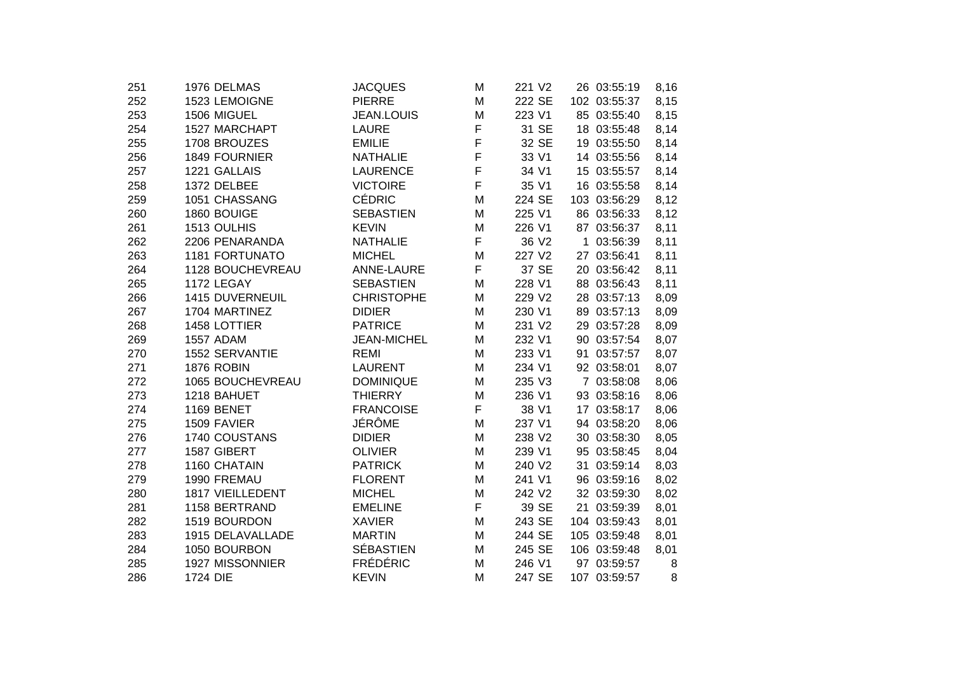| 251 | 1976 DELMAS       | <b>JACQUES</b>     | M | 221 V2            | 26 03:55:19  | 8,16 |
|-----|-------------------|--------------------|---|-------------------|--------------|------|
| 252 | 1523 LEMOIGNE     | <b>PIERRE</b>      | M | 222 SE            | 102 03:55:37 | 8,15 |
| 253 | 1506 MIGUEL       | <b>JEAN.LOUIS</b>  | M | 223 V1            | 85 03:55:40  | 8,15 |
| 254 | 1527 MARCHAPT     | <b>LAURE</b>       | F | 31 SE             | 18 03:55:48  | 8,14 |
| 255 | 1708 BROUZES      | <b>EMILIE</b>      | F | 32 SE             | 19 03:55:50  | 8,14 |
| 256 | 1849 FOURNIER     | <b>NATHALIE</b>    | F | 33 V1             | 14 03:55:56  | 8,14 |
| 257 | 1221 GALLAIS      | <b>LAURENCE</b>    | F | 34 V1             | 15 03:55:57  | 8,14 |
| 258 | 1372 DELBEE       | <b>VICTOIRE</b>    | F | 35 V1             | 16 03:55:58  | 8,14 |
| 259 | 1051 CHASSANG     | <b>CÉDRIC</b>      | M | 224 SE            | 103 03:56:29 | 8,12 |
| 260 | 1860 BOUIGE       | <b>SEBASTIEN</b>   | M | 225 V1            | 86 03:56:33  | 8,12 |
| 261 | 1513 OULHIS       | <b>KEVIN</b>       | M | 226 V1            | 87 03:56:37  | 8,11 |
| 262 | 2206 PENARANDA    | <b>NATHALIE</b>    | F | 36 V <sub>2</sub> | 1 03:56:39   | 8,11 |
| 263 | 1181 FORTUNATO    | <b>MICHEL</b>      | M | 227 V2            | 27 03:56:41  | 8,11 |
| 264 | 1128 BOUCHEVREAU  | ANNE-LAURE         | F | 37 SE             | 20 03:56:42  | 8,11 |
| 265 | 1172 LEGAY        | <b>SEBASTIEN</b>   | M | 228 V1            | 88 03:56:43  | 8,11 |
| 266 | 1415 DUVERNEUIL   | <b>CHRISTOPHE</b>  | M | 229 V2            | 28 03:57:13  | 8,09 |
| 267 | 1704 MARTINEZ     | <b>DIDIER</b>      | M | 230 V1            | 89 03:57:13  | 8,09 |
| 268 | 1458 LOTTIER      | <b>PATRICE</b>     | M | 231 V2            | 29 03:57:28  | 8,09 |
| 269 | <b>1557 ADAM</b>  | <b>JEAN-MICHEL</b> | M | 232 V1            | 90 03:57:54  | 8,07 |
| 270 | 1552 SERVANTIE    | <b>REMI</b>        | M | 233 V1            | 91 03:57:57  | 8,07 |
| 271 | <b>1876 ROBIN</b> | <b>LAURENT</b>     | M | 234 V1            | 92 03:58:01  | 8,07 |
| 272 | 1065 BOUCHEVREAU  | <b>DOMINIQUE</b>   | M | 235 V3            | 7 03:58:08   | 8,06 |
| 273 | 1218 BAHUET       | <b>THIERRY</b>     | M | 236 V1            | 93 03:58:16  | 8,06 |
| 274 | 1169 BENET        | <b>FRANCOISE</b>   | F | 38 V1             | 17 03:58:17  | 8,06 |
| 275 | 1509 FAVIER       | JÉRÔME             | M | 237 V1            | 94 03:58:20  | 8,06 |
| 276 | 1740 COUSTANS     | <b>DIDIER</b>      | M | 238 V2            | 30 03:58:30  | 8,05 |
| 277 | 1587 GIBERT       | <b>OLIVIER</b>     | M | 239 V1            | 95 03:58:45  | 8,04 |
| 278 | 1160 CHATAIN      | <b>PATRICK</b>     | M | 240 V2            | 31 03:59:14  | 8,03 |
| 279 | 1990 FREMAU       | <b>FLORENT</b>     | M | 241 V1            | 96 03:59:16  | 8,02 |
| 280 | 1817 VIEILLEDENT  | <b>MICHEL</b>      | M | 242 V2            | 32 03:59:30  | 8,02 |
| 281 | 1158 BERTRAND     | <b>EMELINE</b>     | F | 39 SE             | 21 03:59:39  | 8,01 |
| 282 | 1519 BOURDON      | <b>XAVIER</b>      | M | 243 SE            | 104 03:59:43 | 8,01 |
| 283 | 1915 DELAVALLADE  | <b>MARTIN</b>      | M | 244 SE            | 105 03:59:48 | 8,01 |
| 284 | 1050 BOURBON      | <b>SÉBASTIEN</b>   | M | 245 SE            | 106 03:59:48 | 8,01 |
| 285 | 1927 MISSONNIER   | <b>FRÉDÉRIC</b>    | M | 246 V1            | 97 03:59:57  | 8    |
| 286 | 1724 DIE          | <b>KEVIN</b>       | M | 247 SE            | 107 03:59:57 | 8    |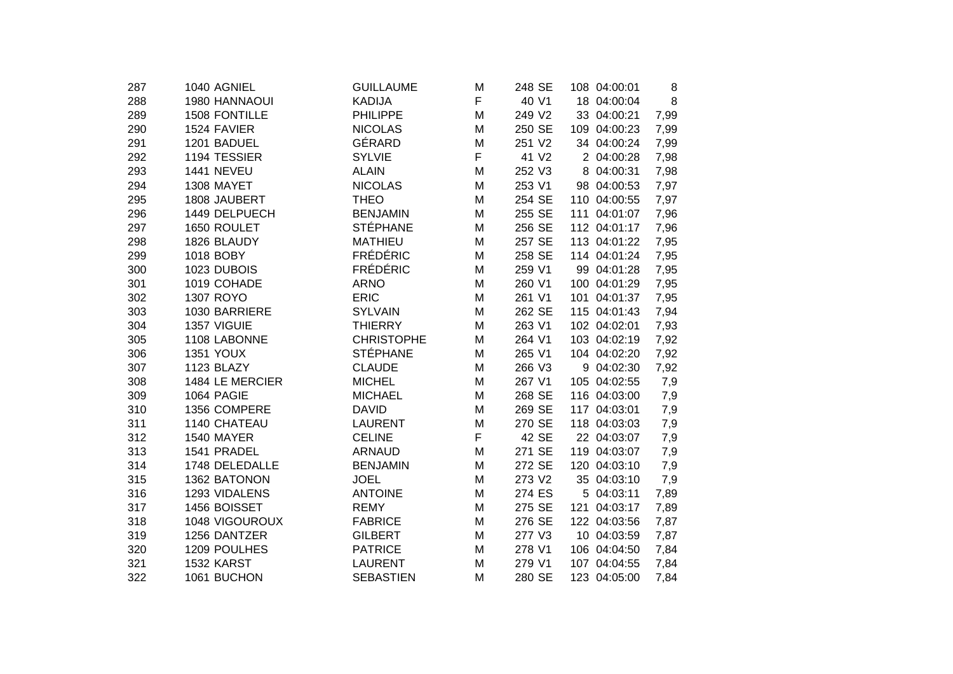| 1040 AGNIEL       | <b>GUILLAUME</b>                                              | Μ                                                                                          | 248 SE |                                      | 8                                                                                                                                                                                                                                                                                                                                                                                                                                                                                                                                                                        |
|-------------------|---------------------------------------------------------------|--------------------------------------------------------------------------------------------|--------|--------------------------------------|--------------------------------------------------------------------------------------------------------------------------------------------------------------------------------------------------------------------------------------------------------------------------------------------------------------------------------------------------------------------------------------------------------------------------------------------------------------------------------------------------------------------------------------------------------------------------|
| 1980 HANNAOUI     | <b>KADIJA</b>                                                 | F                                                                                          | 40 V1  |                                      | 8                                                                                                                                                                                                                                                                                                                                                                                                                                                                                                                                                                        |
| 1508 FONTILLE     | <b>PHILIPPE</b>                                               | Μ                                                                                          | 249 V2 |                                      | 7,99                                                                                                                                                                                                                                                                                                                                                                                                                                                                                                                                                                     |
| 1524 FAVIER       | <b>NICOLAS</b>                                                | M                                                                                          | 250 SE |                                      | 7,99                                                                                                                                                                                                                                                                                                                                                                                                                                                                                                                                                                     |
| 1201 BADUEL       | GÉRARD                                                        | M                                                                                          | 251 V2 |                                      | 7,99                                                                                                                                                                                                                                                                                                                                                                                                                                                                                                                                                                     |
| 1194 TESSIER      | <b>SYLVIE</b>                                                 | F                                                                                          | 41 V2  |                                      | 7,98                                                                                                                                                                                                                                                                                                                                                                                                                                                                                                                                                                     |
| <b>1441 NEVEU</b> | <b>ALAIN</b>                                                  | Μ                                                                                          | 252 V3 |                                      | 7,98                                                                                                                                                                                                                                                                                                                                                                                                                                                                                                                                                                     |
| 1308 MAYET        | <b>NICOLAS</b>                                                | М                                                                                          | 253 V1 |                                      | 7,97                                                                                                                                                                                                                                                                                                                                                                                                                                                                                                                                                                     |
| 1808 JAUBERT      | <b>THEO</b>                                                   | Μ                                                                                          | 254 SE |                                      | 7,97                                                                                                                                                                                                                                                                                                                                                                                                                                                                                                                                                                     |
| 1449 DELPUECH     | <b>BENJAMIN</b>                                               | M                                                                                          | 255 SE |                                      | 7,96                                                                                                                                                                                                                                                                                                                                                                                                                                                                                                                                                                     |
| 1650 ROULET       |                                                               | Μ                                                                                          | 256 SE |                                      | 7,96                                                                                                                                                                                                                                                                                                                                                                                                                                                                                                                                                                     |
| 1826 BLAUDY       | <b>MATHIEU</b>                                                | M                                                                                          | 257 SE |                                      | 7,95                                                                                                                                                                                                                                                                                                                                                                                                                                                                                                                                                                     |
| 1018 BOBY         |                                                               | M                                                                                          | 258 SE |                                      | 7,95                                                                                                                                                                                                                                                                                                                                                                                                                                                                                                                                                                     |
| 1023 DUBOIS       |                                                               | M                                                                                          | 259 V1 |                                      | 7,95                                                                                                                                                                                                                                                                                                                                                                                                                                                                                                                                                                     |
| 1019 COHADE       | <b>ARNO</b>                                                   | M                                                                                          | 260 V1 |                                      | 7,95                                                                                                                                                                                                                                                                                                                                                                                                                                                                                                                                                                     |
| 1307 ROYO         | <b>ERIC</b>                                                   | Μ                                                                                          | 261 V1 |                                      | 7,95                                                                                                                                                                                                                                                                                                                                                                                                                                                                                                                                                                     |
| 1030 BARRIERE     | <b>SYLVAIN</b>                                                | M                                                                                          | 262 SE |                                      | 7,94                                                                                                                                                                                                                                                                                                                                                                                                                                                                                                                                                                     |
| 1357 VIGUIE       | <b>THIERRY</b>                                                | Μ                                                                                          | 263 V1 |                                      | 7,93                                                                                                                                                                                                                                                                                                                                                                                                                                                                                                                                                                     |
| 1108 LABONNE      | <b>CHRISTOPHE</b>                                             | M                                                                                          | 264 V1 |                                      | 7,92                                                                                                                                                                                                                                                                                                                                                                                                                                                                                                                                                                     |
| <b>1351 YOUX</b>  |                                                               | M                                                                                          | 265 V1 |                                      | 7,92                                                                                                                                                                                                                                                                                                                                                                                                                                                                                                                                                                     |
| 1123 BLAZY        | <b>CLAUDE</b>                                                 | M                                                                                          | 266 V3 |                                      | 7,92                                                                                                                                                                                                                                                                                                                                                                                                                                                                                                                                                                     |
| 1484 LE MERCIER   | <b>MICHEL</b>                                                 | M                                                                                          | 267 V1 |                                      | 7,9                                                                                                                                                                                                                                                                                                                                                                                                                                                                                                                                                                      |
| 1064 PAGIE        | <b>MICHAEL</b>                                                | Μ                                                                                          | 268 SE |                                      | 7,9                                                                                                                                                                                                                                                                                                                                                                                                                                                                                                                                                                      |
| 1356 COMPERE      | <b>DAVID</b>                                                  | M                                                                                          | 269 SE |                                      | 7,9                                                                                                                                                                                                                                                                                                                                                                                                                                                                                                                                                                      |
| 1140 CHATEAU      | <b>LAURENT</b>                                                | M                                                                                          |        |                                      | 7,9                                                                                                                                                                                                                                                                                                                                                                                                                                                                                                                                                                      |
|                   | <b>CELINE</b>                                                 |                                                                                            | 42 SE  |                                      | 7,9                                                                                                                                                                                                                                                                                                                                                                                                                                                                                                                                                                      |
| 1541 PRADEL       | <b>ARNAUD</b>                                                 | Μ                                                                                          |        |                                      | 7,9                                                                                                                                                                                                                                                                                                                                                                                                                                                                                                                                                                      |
| 1748 DELEDALLE    | <b>BENJAMIN</b>                                               | M                                                                                          | 272 SE |                                      | 7,9                                                                                                                                                                                                                                                                                                                                                                                                                                                                                                                                                                      |
| 1362 BATONON      | <b>JOEL</b>                                                   | Μ                                                                                          | 273 V2 |                                      | 7,9                                                                                                                                                                                                                                                                                                                                                                                                                                                                                                                                                                      |
|                   |                                                               | Μ                                                                                          |        |                                      | 7,89                                                                                                                                                                                                                                                                                                                                                                                                                                                                                                                                                                     |
|                   | <b>REMY</b>                                                   | Μ                                                                                          | 275 SE | 121                                  | 7,89                                                                                                                                                                                                                                                                                                                                                                                                                                                                                                                                                                     |
|                   | <b>FABRICE</b>                                                | Μ                                                                                          |        |                                      | 7,87                                                                                                                                                                                                                                                                                                                                                                                                                                                                                                                                                                     |
| 1256 DANTZER      | <b>GILBERT</b>                                                | М                                                                                          | 277 V3 |                                      | 7,87                                                                                                                                                                                                                                                                                                                                                                                                                                                                                                                                                                     |
| 1209 POULHES      | <b>PATRICE</b>                                                | М                                                                                          | 278 V1 |                                      | 7,84                                                                                                                                                                                                                                                                                                                                                                                                                                                                                                                                                                     |
| 1532 KARST        | <b>LAURENT</b>                                                | Μ                                                                                          | 279 V1 |                                      | 7,84                                                                                                                                                                                                                                                                                                                                                                                                                                                                                                                                                                     |
| 1061 BUCHON       | <b>SEBASTIEN</b>                                              | Μ                                                                                          | 280 SE |                                      | 7,84                                                                                                                                                                                                                                                                                                                                                                                                                                                                                                                                                                     |
|                   | 1540 MAYER<br>1293 VIDALENS<br>1456 BOISSET<br>1048 VIGOUROUX | <b>STÉPHANE</b><br><b>FRÉDÉRIC</b><br><b>FRÉDÉRIC</b><br><b>STÉPHANE</b><br><b>ANTOINE</b> | F      | 270 SE<br>271 SE<br>274 ES<br>276 SE | 108 04:00:01<br>18 04:00:04<br>33 04:00:21<br>109 04:00:23<br>34 04:00:24<br>2 04:00:28<br>8 04:00:31<br>98 04:00:53<br>110 04:00:55<br>111 04:01:07<br>112 04:01:17<br>113 04:01:22<br>114 04:01:24<br>99 04:01:28<br>100 04:01:29<br>101 04:01:37<br>115 04:01:43<br>102 04:02:01<br>103 04:02:19<br>104 04:02:20<br>9 04:02:30<br>105 04:02:55<br>116 04:03:00<br>117 04:03:01<br>118 04:03:03<br>22 04:03:07<br>119 04:03:07<br>120 04:03:10<br>35 04:03:10<br>5 04:03:11<br>04:03:17<br>122 04:03:56<br>10 04:03:59<br>106 04:04:50<br>107 04:04:55<br>123 04:05:00 |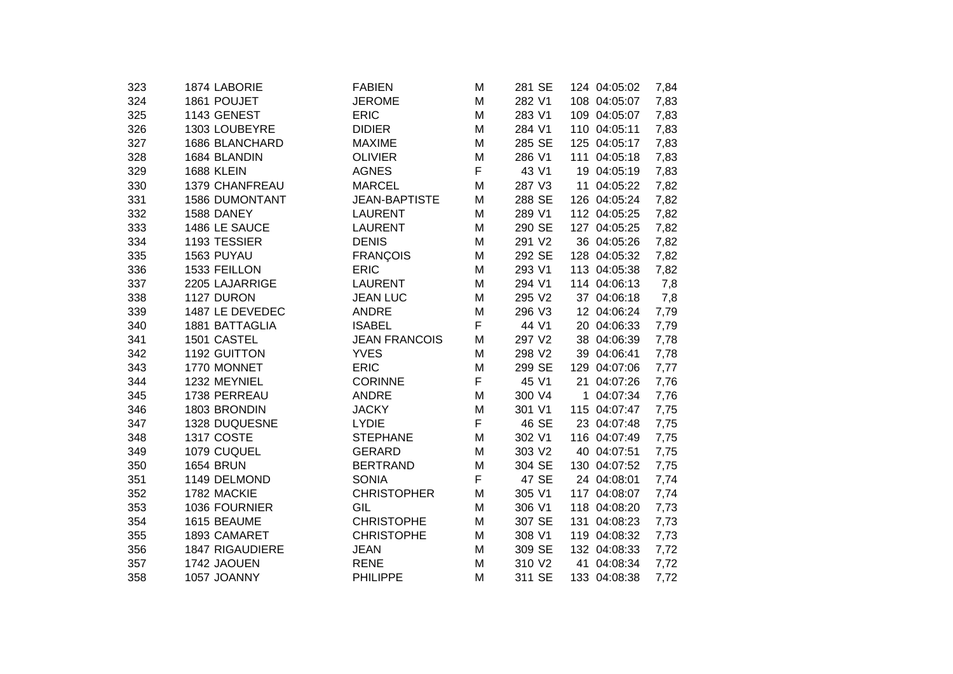| 323 | 1874 LABORIE           | <b>FABIEN</b>        | Μ | 281 SE | 124 04:05:02 | 7,84 |
|-----|------------------------|----------------------|---|--------|--------------|------|
| 324 | 1861 POUJET            | <b>JEROME</b>        | M | 282 V1 | 108 04:05:07 | 7,83 |
| 325 | 1143 GENEST            | <b>ERIC</b>          | М | 283 V1 | 109 04:05:07 | 7,83 |
| 326 | 1303 LOUBEYRE          | <b>DIDIER</b>        | M | 284 V1 | 110 04:05:11 | 7,83 |
| 327 | 1686 BLANCHARD         | <b>MAXIME</b>        | M | 285 SE | 125 04:05:17 | 7,83 |
| 328 | 1684 BLANDIN           | <b>OLIVIER</b>       | M | 286 V1 | 111 04:05:18 | 7,83 |
| 329 | <b>1688 KLEIN</b>      | <b>AGNES</b>         | F | 43 V1  | 19 04:05:19  | 7,83 |
| 330 | 1379 CHANFREAU         | <b>MARCEL</b>        | M | 287 V3 | 11 04:05:22  | 7,82 |
| 331 | <b>1586 DUMONTANT</b>  | <b>JEAN-BAPTISTE</b> | M | 288 SE | 126 04:05:24 | 7,82 |
| 332 | 1588 DANEY             | <b>LAURENT</b>       | M | 289 V1 | 112 04:05:25 | 7,82 |
| 333 | 1486 LE SAUCE          | <b>LAURENT</b>       | M | 290 SE | 127 04:05:25 | 7,82 |
| 334 | 1193 TESSIER           | <b>DENIS</b>         | М | 291 V2 | 36 04:05:26  | 7,82 |
| 335 | 1563 PUYAU             | <b>FRANÇOIS</b>      | Μ | 292 SE | 128 04:05:32 | 7,82 |
| 336 | 1533 FEILLON           | <b>ERIC</b>          | М | 293 V1 | 113 04:05:38 | 7,82 |
| 337 | 2205 LAJARRIGE         | <b>LAURENT</b>       | M | 294 V1 | 114 04:06:13 | 7,8  |
| 338 | 1127 DURON             | <b>JEAN LUC</b>      | M | 295 V2 | 37 04:06:18  | 7,8  |
| 339 | 1487 LE DEVEDEC        | <b>ANDRE</b>         | M | 296 V3 | 12 04:06:24  | 7,79 |
| 340 | 1881 BATTAGLIA         | <b>ISABEL</b>        | F | 44 V1  | 20 04:06:33  | 7,79 |
| 341 | 1501 CASTEL            | <b>JEAN FRANCOIS</b> | M | 297 V2 | 38 04:06:39  | 7,78 |
| 342 | 1192 GUITTON           | <b>YVES</b>          | M | 298 V2 | 39 04:06:41  | 7,78 |
| 343 | 1770 MONNET            | <b>ERIC</b>          | M | 299 SE | 129 04:07:06 | 7,77 |
| 344 | 1232 MEYNIEL           | <b>CORINNE</b>       | F | 45 V1  | 21 04:07:26  | 7,76 |
| 345 | 1738 PERREAU           | <b>ANDRE</b>         | М | 300 V4 | 1 04:07:34   | 7,76 |
| 346 | 1803 BRONDIN           | <b>JACKY</b>         | M | 301 V1 | 115 04:07:47 | 7,75 |
| 347 | 1328 DUQUESNE          | <b>LYDIE</b>         | F | 46 SE  | 23 04:07:48  | 7,75 |
| 348 | 1317 COSTE             | <b>STEPHANE</b>      | M | 302 V1 | 116 04:07:49 | 7,75 |
| 349 | 1079 CUQUEL            | <b>GERARD</b>        | M | 303 V2 | 40 04:07:51  | 7,75 |
| 350 | <b>1654 BRUN</b>       | <b>BERTRAND</b>      | M | 304 SE | 130 04:07:52 | 7,75 |
| 351 | 1149 DELMOND           | <b>SONIA</b>         | F | 47 SE  | 24 04:08:01  | 7,74 |
| 352 | 1782 MACKIE            | <b>CHRISTOPHER</b>   | M | 305 V1 | 117 04:08:07 | 7,74 |
| 353 | 1036 FOURNIER          | GIL                  | M | 306 V1 | 118 04:08:20 | 7,73 |
| 354 | 1615 BEAUME            | <b>CHRISTOPHE</b>    | M | 307 SE | 131 04:08:23 | 7,73 |
| 355 | 1893 CAMARET           | <b>CHRISTOPHE</b>    | M | 308 V1 | 119 04:08:32 | 7,73 |
| 356 | <b>1847 RIGAUDIERE</b> | <b>JEAN</b>          | M | 309 SE | 132 04:08:33 | 7,72 |
| 357 | 1742 JAOUEN            | <b>RENE</b>          | M | 310 V2 | 41 04:08:34  | 7,72 |
| 358 | 1057 JOANNY            | <b>PHILIPPE</b>      | M | 311 SE | 133 04:08:38 | 7,72 |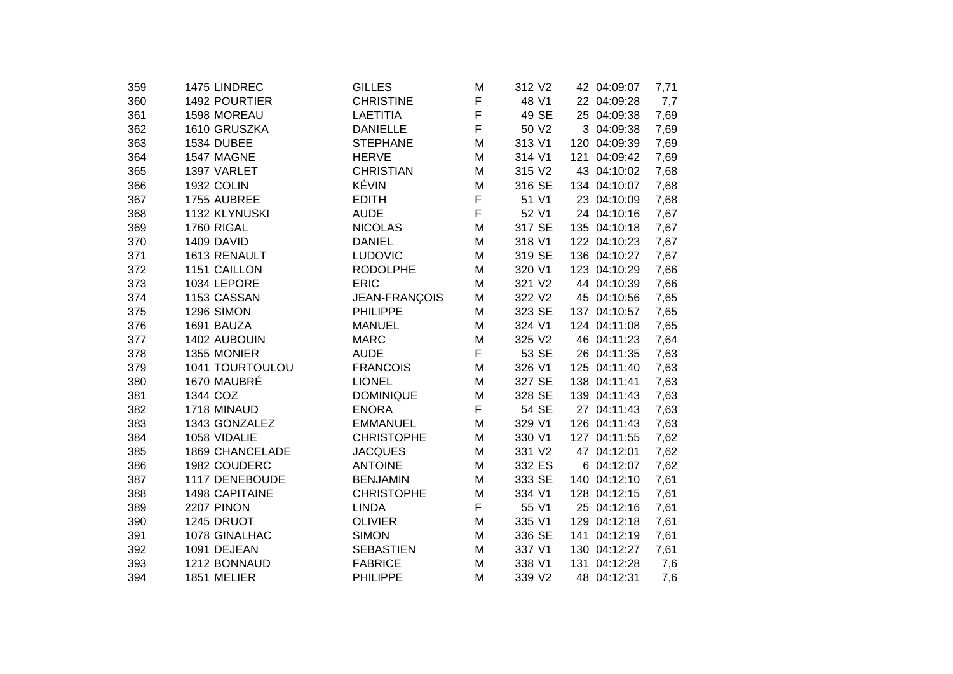| 359 | 1475 LINDREC           | <b>GILLES</b>     | M | 312 V2 |     | 42 04:09:07  | 7,71 |
|-----|------------------------|-------------------|---|--------|-----|--------------|------|
| 360 | 1492 POURTIER          | <b>CHRISTINE</b>  | F | 48 V1  |     | 22 04:09:28  | 7,7  |
| 361 | 1598 MOREAU            | <b>LAETITIA</b>   | F | 49 SE  |     | 25 04:09:38  | 7,69 |
| 362 | 1610 GRUSZKA           | <b>DANIELLE</b>   | F | 50 V2  |     | 3 04:09:38   | 7,69 |
| 363 | 1534 DUBEE             | <b>STEPHANE</b>   | M | 313 V1 |     | 120 04:09:39 | 7,69 |
| 364 | 1547 MAGNE             | <b>HERVE</b>      | M | 314 V1 | 121 | 04:09:42     | 7,69 |
| 365 | 1397 VARLET            | <b>CHRISTIAN</b>  | M | 315 V2 |     | 43 04:10:02  | 7,68 |
| 366 | <b>1932 COLIN</b>      | KÉVIN             | M | 316 SE |     | 134 04:10:07 | 7,68 |
| 367 | 1755 AUBREE            | <b>EDITH</b>      | F | 51 V1  |     | 23 04:10:09  | 7,68 |
| 368 | 1132 KLYNUSKI          | <b>AUDE</b>       | F | 52 V1  |     | 24 04:10:16  | 7,67 |
| 369 | 1760 RIGAL             | <b>NICOLAS</b>    | M | 317 SE |     | 135 04:10:18 | 7,67 |
| 370 | 1409 DAVID             | <b>DANIEL</b>     | M | 318 V1 |     | 122 04:10:23 | 7,67 |
| 371 | 1613 RENAULT           | <b>LUDOVIC</b>    | M | 319 SE |     | 136 04:10:27 | 7,67 |
| 372 | 1151 CAILLON           | <b>RODOLPHE</b>   | M | 320 V1 |     | 123 04:10:29 | 7,66 |
| 373 | 1034 LEPORE            | <b>ERIC</b>       | M | 321 V2 |     | 44 04:10:39  | 7,66 |
| 374 | 1153 CASSAN            | JEAN-FRANÇOIS     | M | 322 V2 |     | 45 04:10:56  | 7,65 |
| 375 | 1296 SIMON             | <b>PHILIPPE</b>   | M | 323 SE |     | 137 04:10:57 | 7,65 |
| 376 | 1691 BAUZA             | <b>MANUEL</b>     | M | 324 V1 |     | 124 04:11:08 | 7,65 |
| 377 | 1402 AUBOUIN           | <b>MARC</b>       | M | 325 V2 |     | 46 04:11:23  | 7,64 |
| 378 | 1355 MONIER            | <b>AUDE</b>       | F | 53 SE  |     | 26 04:11:35  | 7,63 |
| 379 | 1041 TOURTOULOU        | <b>FRANCOIS</b>   | M | 326 V1 |     | 125 04:11:40 | 7,63 |
| 380 | 1670 MAUBRÉ            | <b>LIONEL</b>     | M | 327 SE |     | 138 04:11:41 | 7,63 |
| 381 | 1344 COZ               | <b>DOMINIQUE</b>  | M | 328 SE |     | 139 04:11:43 | 7,63 |
| 382 | 1718 MINAUD            | <b>ENORA</b>      | F | 54 SE  |     | 27 04:11:43  | 7,63 |
| 383 | 1343 GONZALEZ          | <b>EMMANUEL</b>   | M | 329 V1 |     | 126 04:11:43 | 7,63 |
| 384 | 1058 VIDALIE           | <b>CHRISTOPHE</b> | M | 330 V1 |     | 127 04:11:55 | 7,62 |
| 385 | <b>1869 CHANCELADE</b> | <b>JACQUES</b>    | M | 331 V2 |     | 47 04:12:01  | 7,62 |
| 386 | 1982 COUDERC           | <b>ANTOINE</b>    | M | 332 ES |     | 6 04:12:07   | 7,62 |
| 387 | 1117 DENEBOUDE         | <b>BENJAMIN</b>   | M | 333 SE |     | 140 04:12:10 | 7,61 |
| 388 | 1498 CAPITAINE         | <b>CHRISTOPHE</b> | M | 334 V1 |     | 128 04:12:15 | 7,61 |
| 389 | 2207 PINON             | <b>LINDA</b>      | F | 55 V1  |     | 25 04:12:16  | 7,61 |
| 390 | 1245 DRUOT             | <b>OLIVIER</b>    | M | 335 V1 |     | 129 04:12:18 | 7,61 |
| 391 | 1078 GINALHAC          | <b>SIMON</b>      | M | 336 SE |     | 141 04:12:19 | 7,61 |
| 392 | 1091 DEJEAN            | <b>SEBASTIEN</b>  | M | 337 V1 |     | 130 04:12:27 | 7,61 |
| 393 | 1212 BONNAUD           | <b>FABRICE</b>    | M | 338 V1 |     | 131 04:12:28 | 7,6  |
| 394 | 1851 MELIER            | <b>PHILIPPE</b>   | M | 339 V2 |     | 48 04:12:31  | 7,6  |
|     |                        |                   |   |        |     |              |      |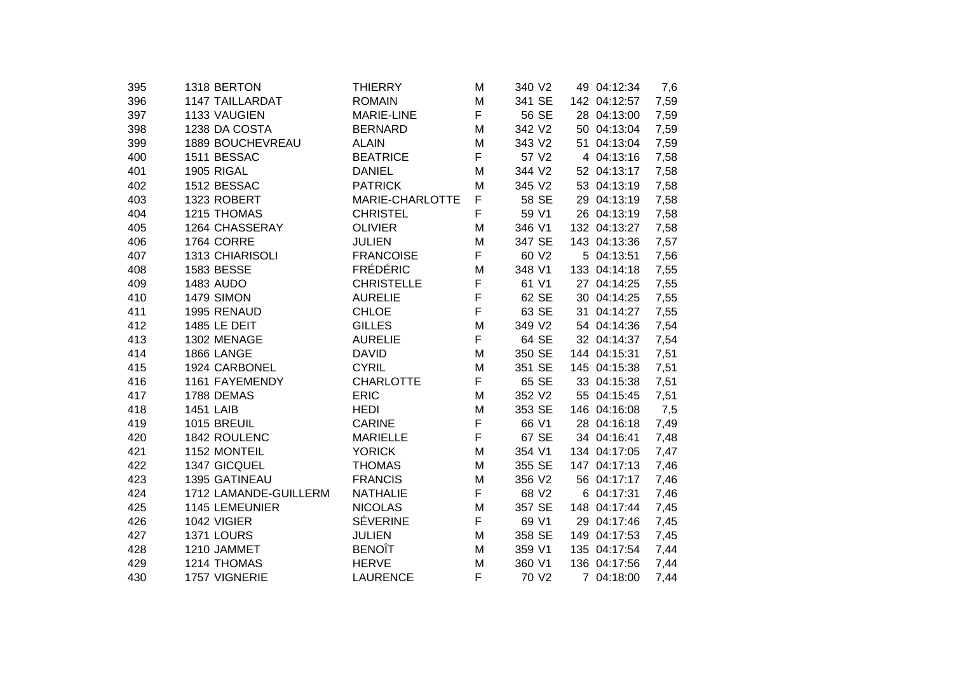| 1318 BERTON            | <b>THIERRY</b>                              | M                                                                     | 340 V2                |                          | 7,6                                                                                                                                                                                                                                                                                                                                                                                                                                                                                                                                                               |
|------------------------|---------------------------------------------|-----------------------------------------------------------------------|-----------------------|--------------------------|-------------------------------------------------------------------------------------------------------------------------------------------------------------------------------------------------------------------------------------------------------------------------------------------------------------------------------------------------------------------------------------------------------------------------------------------------------------------------------------------------------------------------------------------------------------------|
| <b>1147 TAILLARDAT</b> | <b>ROMAIN</b>                               | M                                                                     | 341 SE                |                          | 7,59                                                                                                                                                                                                                                                                                                                                                                                                                                                                                                                                                              |
| 1133 VAUGIEN           | <b>MARIE-LINE</b>                           | F                                                                     | 56 SE                 |                          | 7,59                                                                                                                                                                                                                                                                                                                                                                                                                                                                                                                                                              |
| 1238 DA COSTA          | <b>BERNARD</b>                              | M                                                                     | 342 V2                |                          | 7,59                                                                                                                                                                                                                                                                                                                                                                                                                                                                                                                                                              |
| 1889 BOUCHEVREAU       | <b>ALAIN</b>                                | M                                                                     | 343 V2                |                          | 7,59                                                                                                                                                                                                                                                                                                                                                                                                                                                                                                                                                              |
| 1511 BESSAC            | <b>BEATRICE</b>                             | F                                                                     | 57 V2                 |                          | 7,58                                                                                                                                                                                                                                                                                                                                                                                                                                                                                                                                                              |
| 1905 RIGAL             | <b>DANIEL</b>                               | M                                                                     | 344 V2                |                          | 7,58                                                                                                                                                                                                                                                                                                                                                                                                                                                                                                                                                              |
| 1512 BESSAC            | <b>PATRICK</b>                              | м                                                                     | 345 V2                |                          | 7,58                                                                                                                                                                                                                                                                                                                                                                                                                                                                                                                                                              |
| 1323 ROBERT            | MARIE-CHARLOTTE                             | F                                                                     | 58 SE                 |                          | 7,58                                                                                                                                                                                                                                                                                                                                                                                                                                                                                                                                                              |
| 1215 THOMAS            | <b>CHRISTEL</b>                             | F                                                                     | 59 V1                 |                          | 7,58                                                                                                                                                                                                                                                                                                                                                                                                                                                                                                                                                              |
| 1264 CHASSERAY         | <b>OLIVIER</b>                              | м                                                                     | 346 V1                |                          | 7,58                                                                                                                                                                                                                                                                                                                                                                                                                                                                                                                                                              |
| 1764 CORRE             | <b>JULIEN</b>                               | M                                                                     | 347 SE                |                          | 7,57                                                                                                                                                                                                                                                                                                                                                                                                                                                                                                                                                              |
| 1313 CHIARISOLI        | <b>FRANCOISE</b>                            | F                                                                     | 60 V <sub>2</sub>     |                          | 7,56                                                                                                                                                                                                                                                                                                                                                                                                                                                                                                                                                              |
| 1583 BESSE             |                                             | M                                                                     | 348 V1                |                          | 7,55                                                                                                                                                                                                                                                                                                                                                                                                                                                                                                                                                              |
| 1483 AUDO              | <b>CHRISTELLE</b>                           | F                                                                     | 61 V1                 |                          | 7,55                                                                                                                                                                                                                                                                                                                                                                                                                                                                                                                                                              |
| <b>1479 SIMON</b>      | <b>AURELIE</b>                              | F                                                                     | 62 SE                 |                          | 7,55                                                                                                                                                                                                                                                                                                                                                                                                                                                                                                                                                              |
| 1995 RENAUD            | <b>CHLOE</b>                                |                                                                       | 63 SE                 |                          | 7,55                                                                                                                                                                                                                                                                                                                                                                                                                                                                                                                                                              |
| 1485 LE DEIT           | <b>GILLES</b>                               | M                                                                     | 349 V2                |                          | 7,54                                                                                                                                                                                                                                                                                                                                                                                                                                                                                                                                                              |
| 1302 MENAGE            | <b>AURELIE</b>                              | F                                                                     | 64 SE                 |                          | 7,54                                                                                                                                                                                                                                                                                                                                                                                                                                                                                                                                                              |
| 1866 LANGE             | <b>DAVID</b>                                | M                                                                     | 350 SE                |                          | 7,51                                                                                                                                                                                                                                                                                                                                                                                                                                                                                                                                                              |
| 1924 CARBONEL          | <b>CYRIL</b>                                | M                                                                     | 351 SE                |                          | 7,51                                                                                                                                                                                                                                                                                                                                                                                                                                                                                                                                                              |
| 1161 FAYEMENDY         | <b>CHARLOTTE</b>                            | F                                                                     | 65 SE                 |                          | 7,51                                                                                                                                                                                                                                                                                                                                                                                                                                                                                                                                                              |
| 1788 DEMAS             | <b>ERIC</b>                                 | M                                                                     | 352 V2                |                          | 7,51                                                                                                                                                                                                                                                                                                                                                                                                                                                                                                                                                              |
| <b>1451 LAIB</b>       | <b>HEDI</b>                                 | M                                                                     | 353 SE                |                          | 7,5                                                                                                                                                                                                                                                                                                                                                                                                                                                                                                                                                               |
| 1015 BREUIL            | <b>CARINE</b>                               |                                                                       | 66 V1                 |                          | 7,49                                                                                                                                                                                                                                                                                                                                                                                                                                                                                                                                                              |
|                        | <b>MARIELLE</b>                             |                                                                       |                       |                          | 7,48                                                                                                                                                                                                                                                                                                                                                                                                                                                                                                                                                              |
|                        |                                             | M                                                                     |                       |                          | 7,47                                                                                                                                                                                                                                                                                                                                                                                                                                                                                                                                                              |
| 1347 GICQUEL           | <b>THOMAS</b>                               | M                                                                     | 355 SE                |                          | 7,46                                                                                                                                                                                                                                                                                                                                                                                                                                                                                                                                                              |
| 1395 GATINEAU          | <b>FRANCIS</b>                              | M                                                                     | 356 V2                |                          | 7,46                                                                                                                                                                                                                                                                                                                                                                                                                                                                                                                                                              |
| 1712 LAMANDE-GUILLERM  | <b>NATHALIE</b>                             |                                                                       |                       |                          | 7,46                                                                                                                                                                                                                                                                                                                                                                                                                                                                                                                                                              |
| 1145 LEMEUNIER         |                                             | M                                                                     | 357 SE                |                          | 7,45                                                                                                                                                                                                                                                                                                                                                                                                                                                                                                                                                              |
|                        |                                             |                                                                       | 69 V1                 |                          | 7,45                                                                                                                                                                                                                                                                                                                                                                                                                                                                                                                                                              |
| 1371 LOURS             | <b>JULIEN</b>                               | M                                                                     | 358 SE                |                          | 7,45                                                                                                                                                                                                                                                                                                                                                                                                                                                                                                                                                              |
| 1210 JAMMET            | <b>BENOÎT</b>                               | м                                                                     | 359 V1                |                          | 7,44                                                                                                                                                                                                                                                                                                                                                                                                                                                                                                                                                              |
| 1214 THOMAS            | <b>HERVE</b>                                | M                                                                     | 360 V1                |                          | 7,44                                                                                                                                                                                                                                                                                                                                                                                                                                                                                                                                                              |
| 1757 VIGNERIE          | <b>LAURENCE</b>                             | F                                                                     | 70 V2                 |                          | 7,44                                                                                                                                                                                                                                                                                                                                                                                                                                                                                                                                                              |
|                        | 1842 ROULENC<br>1152 MONTEIL<br>1042 VIGIER | <b>FRÉDÉRIC</b><br><b>YORICK</b><br><b>NICOLAS</b><br><b>SÉVERINE</b> | F<br>F<br>F<br>F<br>F | 67 SE<br>354 V1<br>68 V2 | 49 04:12:34<br>142 04:12:57<br>28 04:13:00<br>50 04:13:04<br>51 04:13:04<br>4 04:13:16<br>52 04:13:17<br>53 04:13:19<br>29 04:13:19<br>26 04:13:19<br>132 04:13:27<br>143 04:13:36<br>5 04:13:51<br>133 04:14:18<br>27 04:14:25<br>30 04:14:25<br>31 04:14:27<br>54 04:14:36<br>32 04:14:37<br>144 04:15:31<br>145 04:15:38<br>33 04:15:38<br>55 04:15:45<br>146 04:16:08<br>28 04:16:18<br>34 04:16:41<br>134 04:17:05<br>147 04:17:13<br>56 04:17:17<br>6 04:17:31<br>148 04:17:44<br>29 04:17:46<br>149 04:17:53<br>135 04:17:54<br>136 04:17:56<br>7 04:18:00 |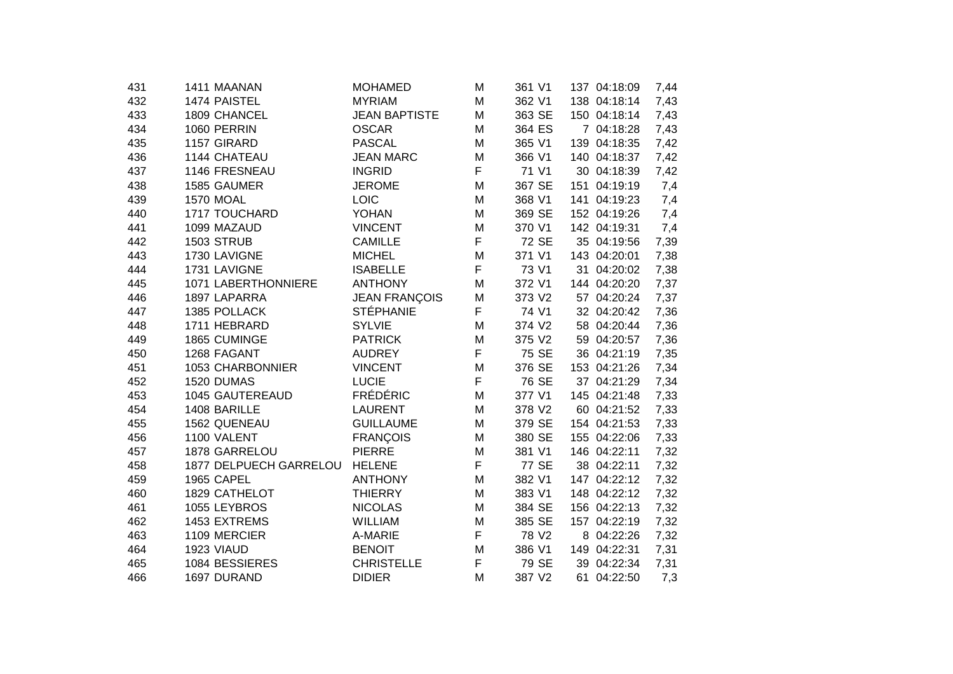| 1474 PAISTEL<br>1809 CHANCEL<br>1060 PERRIN | <b>MYRIAM</b><br><b>JEAN BAPTISTE</b>                                                                                                       | M<br>M                                                                                                                                                                   | 362 V1                               | 138 04:18:14                                                                                            | 7,43                                                                                       |
|---------------------------------------------|---------------------------------------------------------------------------------------------------------------------------------------------|--------------------------------------------------------------------------------------------------------------------------------------------------------------------------|--------------------------------------|---------------------------------------------------------------------------------------------------------|--------------------------------------------------------------------------------------------|
|                                             |                                                                                                                                             |                                                                                                                                                                          |                                      |                                                                                                         |                                                                                            |
|                                             |                                                                                                                                             |                                                                                                                                                                          | 363 SE                               | 150 04:18:14                                                                                            | 7,43                                                                                       |
|                                             | <b>OSCAR</b>                                                                                                                                | M                                                                                                                                                                        | 364 ES                               | 7 04:18:28                                                                                              | 7,43                                                                                       |
| 1157 GIRARD                                 | <b>PASCAL</b>                                                                                                                               | M                                                                                                                                                                        | 365 V1                               | 139 04:18:35                                                                                            | 7,42                                                                                       |
| 1144 CHATEAU                                | <b>JEAN MARC</b>                                                                                                                            | M                                                                                                                                                                        | 366 V1                               | 140 04:18:37                                                                                            | 7,42                                                                                       |
| 1146 FRESNEAU                               | <b>INGRID</b>                                                                                                                               | F                                                                                                                                                                        | 71 V1                                | 30 04:18:39                                                                                             | 7,42                                                                                       |
| 1585 GAUMER                                 | <b>JEROME</b>                                                                                                                               | M                                                                                                                                                                        | 367 SE                               | 151 04:19:19                                                                                            | 7,4                                                                                        |
| <b>1570 MOAL</b>                            | LOIC                                                                                                                                        | M                                                                                                                                                                        | 368 V1                               | 141 04:19:23                                                                                            | 7,4                                                                                        |
| 1717 TOUCHARD                               | <b>YOHAN</b>                                                                                                                                | M                                                                                                                                                                        | 369 SE                               | 152 04:19:26                                                                                            | 7,4                                                                                        |
| 1099 MAZAUD                                 | <b>VINCENT</b>                                                                                                                              | M                                                                                                                                                                        | 370 V1                               | 142 04:19:31                                                                                            | 7,4                                                                                        |
| <b>1503 STRUB</b>                           | <b>CAMILLE</b>                                                                                                                              | F                                                                                                                                                                        | 72 SE                                | 35 04:19:56                                                                                             | 7,39                                                                                       |
| 1730 LAVIGNE                                | <b>MICHEL</b>                                                                                                                               | M                                                                                                                                                                        | 371 V1                               | 143 04:20:01                                                                                            | 7,38                                                                                       |
| 1731 LAVIGNE                                | <b>ISABELLE</b>                                                                                                                             |                                                                                                                                                                          | 73 V1                                | 31 04:20:02                                                                                             | 7,38                                                                                       |
| 1071 LABERTHONNIERE                         | <b>ANTHONY</b>                                                                                                                              | M                                                                                                                                                                        | 372 V1                               | 144 04:20:20                                                                                            | 7,37                                                                                       |
| 1897 LAPARRA                                | <b>JEAN FRANÇOIS</b>                                                                                                                        | M                                                                                                                                                                        | 373 V2                               | 57 04:20:24                                                                                             | 7,37                                                                                       |
| 1385 POLLACK                                |                                                                                                                                             |                                                                                                                                                                          | 74 V1                                | 32 04:20:42                                                                                             | 7,36                                                                                       |
| 1711 HEBRARD                                | <b>SYLVIE</b>                                                                                                                               | M                                                                                                                                                                        | 374 V2                               | 58 04:20:44                                                                                             | 7,36                                                                                       |
| 1865 CUMINGE                                | <b>PATRICK</b>                                                                                                                              | M                                                                                                                                                                        | 375 V2                               | 59 04:20:57                                                                                             | 7,36                                                                                       |
| 1268 FAGANT                                 | <b>AUDREY</b>                                                                                                                               | F                                                                                                                                                                        | 75 SE                                | 36 04:21:19                                                                                             | 7,35                                                                                       |
| 1053 CHARBONNIER                            | <b>VINCENT</b>                                                                                                                              | M                                                                                                                                                                        | 376 SE                               | 153 04:21:26                                                                                            | 7,34                                                                                       |
|                                             |                                                                                                                                             |                                                                                                                                                                          |                                      | 37 04:21:29                                                                                             | 7,34                                                                                       |
| 1045 GAUTEREAUD                             |                                                                                                                                             | M                                                                                                                                                                        | 377 V1                               | 145 04:21:48                                                                                            | 7,33                                                                                       |
| 1408 BARILLE                                | <b>LAURENT</b>                                                                                                                              | M                                                                                                                                                                        |                                      | 60 04:21:52                                                                                             | 7,33                                                                                       |
| 1562 QUENEAU                                |                                                                                                                                             | M                                                                                                                                                                        |                                      |                                                                                                         | 7,33                                                                                       |
|                                             | <b>FRANÇOIS</b>                                                                                                                             | M                                                                                                                                                                        |                                      | 155 04:22:06                                                                                            | 7,33                                                                                       |
|                                             |                                                                                                                                             | M                                                                                                                                                                        |                                      |                                                                                                         | 7,32                                                                                       |
|                                             | <b>HELENE</b>                                                                                                                               |                                                                                                                                                                          |                                      | 38 04:22:11                                                                                             | 7,32                                                                                       |
|                                             | <b>ANTHONY</b>                                                                                                                              | M                                                                                                                                                                        |                                      | 147 04:22:12                                                                                            | 7,32                                                                                       |
|                                             |                                                                                                                                             |                                                                                                                                                                          |                                      |                                                                                                         | 7,32                                                                                       |
|                                             |                                                                                                                                             |                                                                                                                                                                          |                                      |                                                                                                         | 7,32                                                                                       |
|                                             |                                                                                                                                             |                                                                                                                                                                          |                                      |                                                                                                         | 7,32                                                                                       |
|                                             | A-MARIE                                                                                                                                     |                                                                                                                                                                          |                                      |                                                                                                         | 7,32                                                                                       |
| 1923 VIAUD                                  | <b>BENOIT</b>                                                                                                                               | M                                                                                                                                                                        | 386 V1                               | 149 04:22:31                                                                                            | 7,31                                                                                       |
|                                             | <b>CHRISTELLE</b>                                                                                                                           | F                                                                                                                                                                        | 79 SE                                | 39 04:22:34                                                                                             | 7,31                                                                                       |
| 1697 DURAND                                 | <b>DIDIER</b>                                                                                                                               | M                                                                                                                                                                        | 387 V2                               | 61 04:22:50                                                                                             | 7,3                                                                                        |
|                                             | 1520 DUMAS<br>1100 VALENT<br>1878 GARRELOU<br>1965 CAPEL<br>1829 CATHELOT<br>1055 LEYBROS<br>1453 EXTREMS<br>1109 MERCIER<br>1084 BESSIERES | <b>STÉPHANIE</b><br><b>LUCIE</b><br><b>FRÉDÉRIC</b><br><b>GUILLAUME</b><br><b>PIERRE</b><br>1877 DELPUECH GARRELOU<br><b>THIERRY</b><br><b>NICOLAS</b><br><b>WILLIAM</b> | F<br>F<br>F<br>F<br>M<br>M<br>M<br>F | 76 SE<br>378 V2<br>379 SE<br>380 SE<br>381 V1<br>77 SE<br>382 V1<br>383 V1<br>384 SE<br>385 SE<br>78 V2 | 154 04:21:53<br>146 04:22:11<br>148 04:22:12<br>156 04:22:13<br>157 04:22:19<br>8 04:22:26 |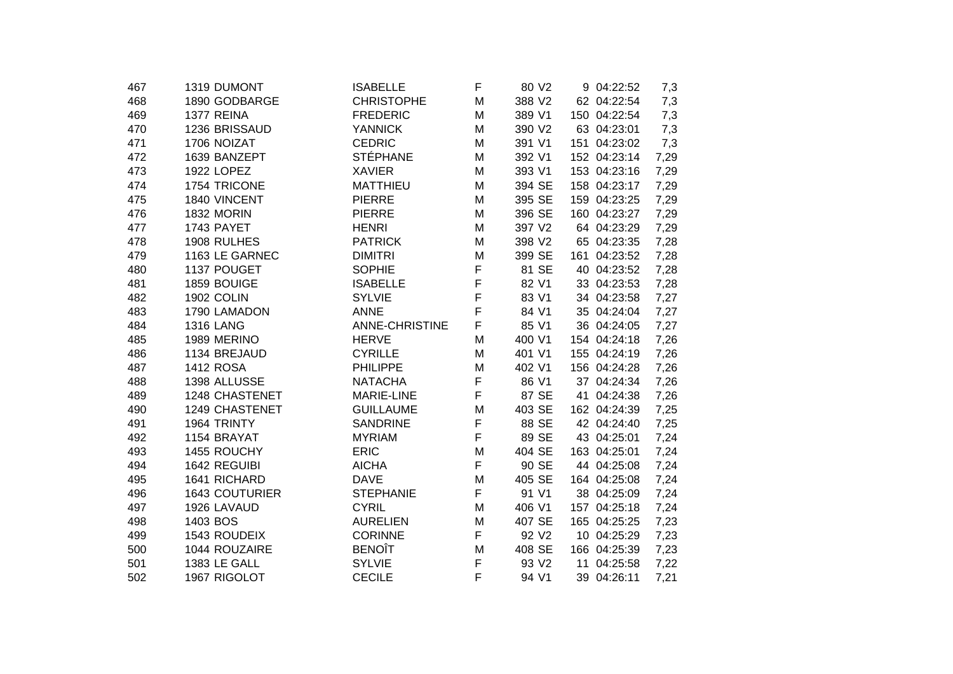| 1319 DUMONT       | <b>ISABELLE</b>                                                                                                                                                | F                                                                                                                                                                        | 80 V2                      |                                                                                                       | 7,3                                                                                                                                                                                                                                                                                                                                                                                                                                                                                                                                                                      |
|-------------------|----------------------------------------------------------------------------------------------------------------------------------------------------------------|--------------------------------------------------------------------------------------------------------------------------------------------------------------------------|----------------------------|-------------------------------------------------------------------------------------------------------|--------------------------------------------------------------------------------------------------------------------------------------------------------------------------------------------------------------------------------------------------------------------------------------------------------------------------------------------------------------------------------------------------------------------------------------------------------------------------------------------------------------------------------------------------------------------------|
| 1890 GODBARGE     | <b>CHRISTOPHE</b>                                                                                                                                              | Μ                                                                                                                                                                        | 388 V2                     |                                                                                                       | 7,3                                                                                                                                                                                                                                                                                                                                                                                                                                                                                                                                                                      |
| 1377 REINA        | <b>FREDERIC</b>                                                                                                                                                | Μ                                                                                                                                                                        | 389 V1                     |                                                                                                       | 7,3                                                                                                                                                                                                                                                                                                                                                                                                                                                                                                                                                                      |
| 1236 BRISSAUD     | <b>YANNICK</b>                                                                                                                                                 | M                                                                                                                                                                        | 390 V2                     |                                                                                                       | 7,3                                                                                                                                                                                                                                                                                                                                                                                                                                                                                                                                                                      |
| 1706 NOIZAT       | <b>CEDRIC</b>                                                                                                                                                  | M                                                                                                                                                                        | 391 V1                     |                                                                                                       | 7,3                                                                                                                                                                                                                                                                                                                                                                                                                                                                                                                                                                      |
| 1639 BANZEPT      | <b>STÉPHANE</b>                                                                                                                                                | Μ                                                                                                                                                                        | 392 V1                     |                                                                                                       | 7,29                                                                                                                                                                                                                                                                                                                                                                                                                                                                                                                                                                     |
| <b>1922 LOPEZ</b> | <b>XAVIER</b>                                                                                                                                                  | Μ                                                                                                                                                                        | 393 V1                     |                                                                                                       | 7,29                                                                                                                                                                                                                                                                                                                                                                                                                                                                                                                                                                     |
| 1754 TRICONE      | <b>MATTHIEU</b>                                                                                                                                                | М                                                                                                                                                                        | 394 SE                     |                                                                                                       | 7,29                                                                                                                                                                                                                                                                                                                                                                                                                                                                                                                                                                     |
| 1840 VINCENT      | <b>PIERRE</b>                                                                                                                                                  | М                                                                                                                                                                        | 395 SE                     |                                                                                                       | 7,29                                                                                                                                                                                                                                                                                                                                                                                                                                                                                                                                                                     |
| <b>1832 MORIN</b> | <b>PIERRE</b>                                                                                                                                                  | Μ                                                                                                                                                                        | 396 SE                     |                                                                                                       | 7,29                                                                                                                                                                                                                                                                                                                                                                                                                                                                                                                                                                     |
| 1743 PAYET        | <b>HENRI</b>                                                                                                                                                   | Μ                                                                                                                                                                        | 397 V2                     |                                                                                                       | 7,29                                                                                                                                                                                                                                                                                                                                                                                                                                                                                                                                                                     |
| 1908 RULHES       | <b>PATRICK</b>                                                                                                                                                 | Μ                                                                                                                                                                        | 398 V2                     |                                                                                                       | 7,28                                                                                                                                                                                                                                                                                                                                                                                                                                                                                                                                                                     |
| 1163 LE GARNEC    | <b>DIMITRI</b>                                                                                                                                                 | M                                                                                                                                                                        | 399 SE                     |                                                                                                       | 7,28                                                                                                                                                                                                                                                                                                                                                                                                                                                                                                                                                                     |
| 1137 POUGET       | <b>SOPHIE</b>                                                                                                                                                  | F                                                                                                                                                                        | 81 SE                      |                                                                                                       | 7,28                                                                                                                                                                                                                                                                                                                                                                                                                                                                                                                                                                     |
| 1859 BOUIGE       | <b>ISABELLE</b>                                                                                                                                                | F                                                                                                                                                                        | 82 V1                      |                                                                                                       | 7,28                                                                                                                                                                                                                                                                                                                                                                                                                                                                                                                                                                     |
| 1902 COLIN        | <b>SYLVIE</b>                                                                                                                                                  | F                                                                                                                                                                        | 83 V1                      |                                                                                                       | 7,27                                                                                                                                                                                                                                                                                                                                                                                                                                                                                                                                                                     |
| 1790 LAMADON      | <b>ANNE</b>                                                                                                                                                    |                                                                                                                                                                          | 84 V1                      |                                                                                                       | 7,27                                                                                                                                                                                                                                                                                                                                                                                                                                                                                                                                                                     |
| <b>1316 LANG</b>  | ANNE-CHRISTINE                                                                                                                                                 | F                                                                                                                                                                        | 85 V1                      |                                                                                                       | 7,27                                                                                                                                                                                                                                                                                                                                                                                                                                                                                                                                                                     |
| 1989 MERINO       | <b>HERVE</b>                                                                                                                                                   | Μ                                                                                                                                                                        | 400 V1                     |                                                                                                       | 7,26                                                                                                                                                                                                                                                                                                                                                                                                                                                                                                                                                                     |
| 1134 BREJAUD      | <b>CYRILLE</b>                                                                                                                                                 | М                                                                                                                                                                        | 401 V1                     |                                                                                                       | 7,26                                                                                                                                                                                                                                                                                                                                                                                                                                                                                                                                                                     |
| <b>1412 ROSA</b>  | <b>PHILIPPE</b>                                                                                                                                                | Μ                                                                                                                                                                        | 402 V1                     |                                                                                                       | 7,26                                                                                                                                                                                                                                                                                                                                                                                                                                                                                                                                                                     |
| 1398 ALLUSSE      | <b>NATACHA</b>                                                                                                                                                 | F                                                                                                                                                                        | 86 V1                      |                                                                                                       | 7,26                                                                                                                                                                                                                                                                                                                                                                                                                                                                                                                                                                     |
| 1248 CHASTENET    | <b>MARIE-LINE</b>                                                                                                                                              | F                                                                                                                                                                        | 87 SE                      |                                                                                                       | 7,26                                                                                                                                                                                                                                                                                                                                                                                                                                                                                                                                                                     |
| 1249 CHASTENET    | <b>GUILLAUME</b>                                                                                                                                               | M                                                                                                                                                                        |                            |                                                                                                       | 7,25                                                                                                                                                                                                                                                                                                                                                                                                                                                                                                                                                                     |
|                   |                                                                                                                                                                |                                                                                                                                                                          |                            |                                                                                                       | 7,25                                                                                                                                                                                                                                                                                                                                                                                                                                                                                                                                                                     |
|                   |                                                                                                                                                                |                                                                                                                                                                          |                            |                                                                                                       | 7,24                                                                                                                                                                                                                                                                                                                                                                                                                                                                                                                                                                     |
|                   |                                                                                                                                                                | Μ                                                                                                                                                                        |                            |                                                                                                       | 7,24                                                                                                                                                                                                                                                                                                                                                                                                                                                                                                                                                                     |
|                   |                                                                                                                                                                |                                                                                                                                                                          |                            |                                                                                                       | 7,24                                                                                                                                                                                                                                                                                                                                                                                                                                                                                                                                                                     |
|                   |                                                                                                                                                                | M                                                                                                                                                                        |                            |                                                                                                       | 7,24                                                                                                                                                                                                                                                                                                                                                                                                                                                                                                                                                                     |
|                   |                                                                                                                                                                |                                                                                                                                                                          |                            |                                                                                                       | 7,24                                                                                                                                                                                                                                                                                                                                                                                                                                                                                                                                                                     |
|                   |                                                                                                                                                                | Μ                                                                                                                                                                        |                            |                                                                                                       | 7,24                                                                                                                                                                                                                                                                                                                                                                                                                                                                                                                                                                     |
|                   |                                                                                                                                                                | Μ                                                                                                                                                                        |                            |                                                                                                       | 7,23                                                                                                                                                                                                                                                                                                                                                                                                                                                                                                                                                                     |
|                   |                                                                                                                                                                |                                                                                                                                                                          |                            |                                                                                                       | 7,23                                                                                                                                                                                                                                                                                                                                                                                                                                                                                                                                                                     |
|                   |                                                                                                                                                                | М                                                                                                                                                                        |                            |                                                                                                       | 7,23                                                                                                                                                                                                                                                                                                                                                                                                                                                                                                                                                                     |
| 1383 LE GALL      | <b>SYLVIE</b>                                                                                                                                                  | F                                                                                                                                                                        | 93 V2                      |                                                                                                       | 7,22                                                                                                                                                                                                                                                                                                                                                                                                                                                                                                                                                                     |
| 1967 RIGOLOT      | <b>CECILE</b>                                                                                                                                                  | F                                                                                                                                                                        | 94 V1                      |                                                                                                       | 7,21                                                                                                                                                                                                                                                                                                                                                                                                                                                                                                                                                                     |
|                   | 1964 TRINTY<br>1154 BRAYAT<br>1455 ROUCHY<br>1642 REGUIBI<br>1641 RICHARD<br><b>1643 COUTURIER</b><br>1926 LAVAUD<br>1403 BOS<br>1543 ROUDEIX<br>1044 ROUZAIRE | <b>SANDRINE</b><br><b>MYRIAM</b><br><b>ERIC</b><br><b>AICHA</b><br><b>DAVE</b><br><b>STEPHANIE</b><br><b>CYRIL</b><br><b>AURELIEN</b><br><b>CORINNE</b><br><b>BENOÎT</b> | F<br>F<br>F<br>F<br>F<br>F | 403 SE<br>88 SE<br>89 SE<br>404 SE<br>90 SE<br>405 SE<br>91 V1<br>406 V1<br>407 SE<br>92 V2<br>408 SE | 9 04:22:52<br>62 04:22:54<br>150 04:22:54<br>63 04:23:01<br>151 04:23:02<br>152 04:23:14<br>153 04:23:16<br>158 04:23:17<br>159 04:23:25<br>160 04:23:27<br>64 04:23:29<br>65 04:23:35<br>161 04:23:52<br>40 04:23:52<br>33 04:23:53<br>34 04:23:58<br>35 04:24:04<br>36 04:24:05<br>154 04:24:18<br>155 04:24:19<br>156 04:24:28<br>37 04:24:34<br>41 04:24:38<br>162 04:24:39<br>42 04:24:40<br>43 04:25:01<br>163 04:25:01<br>44 04:25:08<br>164 04:25:08<br>38 04:25:09<br>157 04:25:18<br>165 04:25:25<br>10 04:25:29<br>166 04:25:39<br>11 04:25:58<br>39 04:26:11 |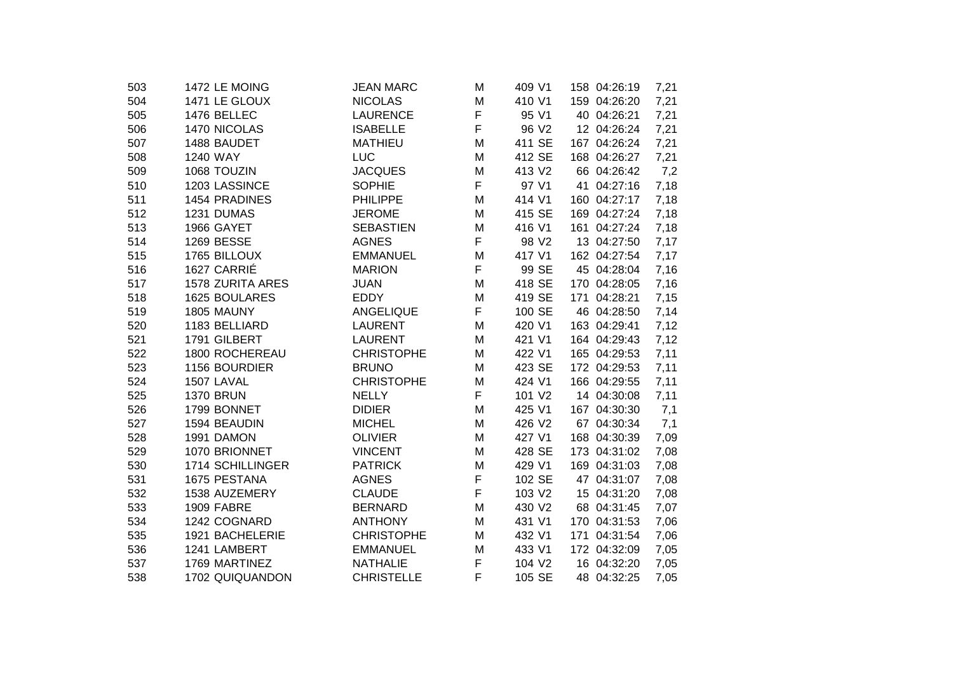| 1472 LE MOING        | <b>JEAN MARC</b>                                                 | M             | 409 V1            | 158 04:26:19 | 7,21                                                                                                      |
|----------------------|------------------------------------------------------------------|---------------|-------------------|--------------|-----------------------------------------------------------------------------------------------------------|
| 1471 LE GLOUX        | <b>NICOLAS</b>                                                   | M             | 410 V1            | 159 04:26:20 | 7,21                                                                                                      |
| 1476 BELLEC          | <b>LAURENCE</b>                                                  | F             | 95 V1             | 40 04:26:21  | 7,21                                                                                                      |
| 1470 NICOLAS         | <b>ISABELLE</b>                                                  | F             | 96 V2             | 12 04:26:24  | 7,21                                                                                                      |
| 1488 BAUDET          | <b>MATHIEU</b>                                                   | M             | 411 SE            | 167 04:26:24 | 7,21                                                                                                      |
| 1240 WAY             | LUC                                                              | M             | 412 SE            | 168 04:26:27 | 7,21                                                                                                      |
| 1068 TOUZIN          | <b>JACQUES</b>                                                   | M             | 413 V2            | 66 04:26:42  | 7,2                                                                                                       |
| 1203 LASSINCE        | <b>SOPHIE</b>                                                    | F             | 97 V1             | 41 04:27:16  | 7,18                                                                                                      |
| 1454 PRADINES        | <b>PHILIPPE</b>                                                  | M             | 414 V1            |              | 7,18                                                                                                      |
| 1231 DUMAS           | <b>JEROME</b>                                                    | M             | 415 SE            |              | 7,18                                                                                                      |
| 1966 GAYET           | <b>SEBASTIEN</b>                                                 | M             | 416 V1            |              | 7,18                                                                                                      |
| <b>1269 BESSE</b>    | <b>AGNES</b>                                                     | F             | 98 V <sub>2</sub> |              | 7,17                                                                                                      |
| 1765 BILLOUX         | <b>EMMANUEL</b>                                                  | M             | 417 V1            |              | 7,17                                                                                                      |
|                      | <b>MARION</b>                                                    |               | 99 SE             |              | 7,16                                                                                                      |
|                      | <b>JUAN</b>                                                      | M             | 418 SE            | 170 04:28:05 | 7,16                                                                                                      |
| <b>1625 BOULARES</b> | <b>EDDY</b>                                                      | M             | 419 SE            | 171 04:28:21 | 7,15                                                                                                      |
| 1805 MAUNY           | ANGELIQUE                                                        | F             | 100 SE            | 46 04:28:50  | 7,14                                                                                                      |
| 1183 BELLIARD        | <b>LAURENT</b>                                                   | M             | 420 V1            | 163 04:29:41 | 7,12                                                                                                      |
| 1791 GILBERT         | <b>LAURENT</b>                                                   | M             | 421 V1            | 164 04:29:43 | 7,12                                                                                                      |
| 1800 ROCHEREAU       | <b>CHRISTOPHE</b>                                                | M             | 422 V1            | 165 04:29:53 | 7,11                                                                                                      |
| 1156 BOURDIER        | <b>BRUNO</b>                                                     | M             | 423 SE            | 172 04:29:53 | 7,11                                                                                                      |
| 1507 LAVAL           | <b>CHRISTOPHE</b>                                                | M             | 424 V1            | 166 04:29:55 | 7,11                                                                                                      |
| <b>1370 BRUN</b>     | <b>NELLY</b>                                                     | F             | 101 V2            | 14 04:30:08  | 7,11                                                                                                      |
| 1799 BONNET          | <b>DIDIER</b>                                                    | M             | 425 V1            | 167 04:30:30 | 7,1                                                                                                       |
| 1594 BEAUDIN         |                                                                  | M             | 426 V2            |              | 7,1                                                                                                       |
| 1991 DAMON           | <b>OLIVIER</b>                                                   | M             | 427 V1            | 168 04:30:39 | 7,09                                                                                                      |
| 1070 BRIONNET        | <b>VINCENT</b>                                                   | M             | 428 SE            | 173 04:31:02 | 7,08                                                                                                      |
| 1714 SCHILLINGER     | <b>PATRICK</b>                                                   | M             | 429 V1            | 169 04:31:03 | 7,08                                                                                                      |
| 1675 PESTANA         | <b>AGNES</b>                                                     |               | 102 SE            | 47 04:31:07  | 7,08                                                                                                      |
|                      | <b>CLAUDE</b>                                                    |               |                   | 15 04:31:20  | 7,08                                                                                                      |
| <b>1909 FABRE</b>    | <b>BERNARD</b>                                                   | M             | 430 V2            | 68 04:31:45  | 7,07                                                                                                      |
|                      | <b>ANTHONY</b>                                                   | M             | 431 V1            | 170 04:31:53 | 7,06                                                                                                      |
| 1921 BACHELERIE      | <b>CHRISTOPHE</b>                                                | M             | 432 V1            | 171 04:31:54 | 7,06                                                                                                      |
| 1241 LAMBERT         | <b>EMMANUEL</b>                                                  | м             | 433 V1            | 172 04:32:09 | 7,05                                                                                                      |
| 1769 MARTINEZ        | <b>NATHALIE</b>                                                  | F             | 104 V2            | 16 04:32:20  | 7,05                                                                                                      |
| 1702 QUIQUANDON      | <b>CHRISTELLE</b>                                                | F             | 105 SE            | 48 04:32:25  | 7,05                                                                                                      |
|                      | 1627 CARRIÉ<br>1578 ZURITA ARES<br>1538 AUZEMERY<br>1242 COGNARD | <b>MICHEL</b> | F<br>F<br>F       | 103 V2       | 160 04:27:17<br>169 04:27:24<br>161 04:27:24<br>13 04:27:50<br>162 04:27:54<br>45 04:28:04<br>67 04:30:34 |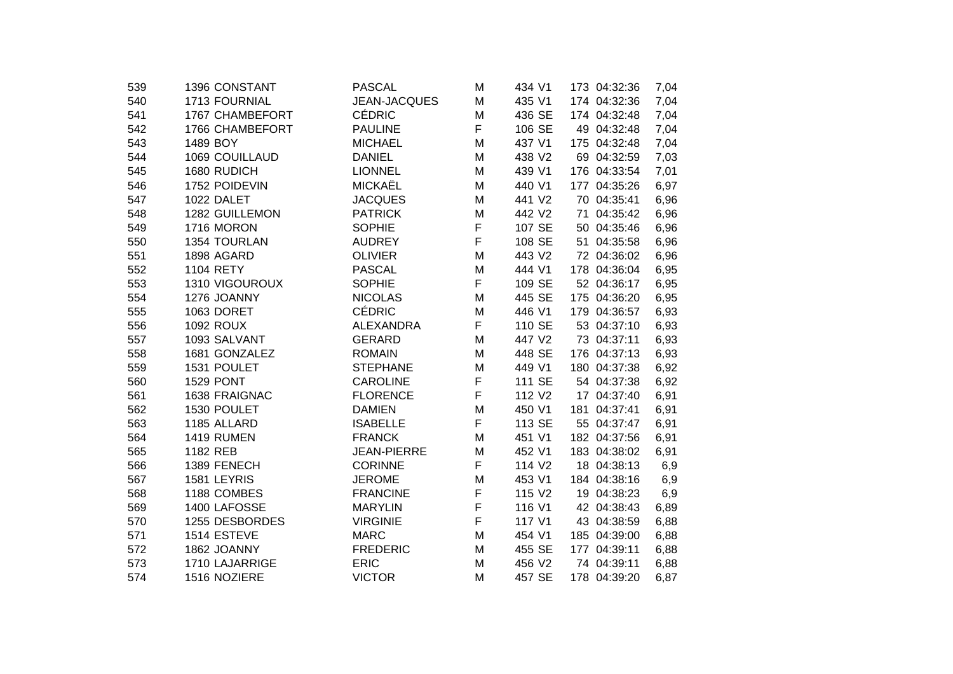| 1396 CONSTANT    | <b>PASCAL</b>                                                                                                               | M                                                                                                                                             | 434 V1                               | 173 04:32:36                                                                 | 7,04                                                                                                      |
|------------------|-----------------------------------------------------------------------------------------------------------------------------|-----------------------------------------------------------------------------------------------------------------------------------------------|--------------------------------------|------------------------------------------------------------------------------|-----------------------------------------------------------------------------------------------------------|
| 1713 FOURNIAL    | JEAN-JACQUES                                                                                                                | M                                                                                                                                             | 435 V1                               | 174 04:32:36                                                                 | 7,04                                                                                                      |
| 1767 CHAMBEFORT  | <b>CÉDRIC</b>                                                                                                               | M                                                                                                                                             | 436 SE                               | 174 04:32:48                                                                 | 7,04                                                                                                      |
| 1766 CHAMBEFORT  | <b>PAULINE</b>                                                                                                              | F                                                                                                                                             | 106 SE                               | 49 04:32:48                                                                  | 7,04                                                                                                      |
| 1489 BOY         | <b>MICHAEL</b>                                                                                                              | M                                                                                                                                             | 437 V1                               | 175 04:32:48                                                                 | 7,04                                                                                                      |
| 1069 COUILLAUD   | <b>DANIEL</b>                                                                                                               | M                                                                                                                                             | 438 V2                               | 69 04:32:59                                                                  | 7,03                                                                                                      |
| 1680 RUDICH      | <b>LIONNEL</b>                                                                                                              | M                                                                                                                                             | 439 V1                               | 176 04:33:54                                                                 | 7,01                                                                                                      |
| 1752 POIDEVIN    | <b>MICKAËL</b>                                                                                                              | M                                                                                                                                             | 440 V1                               | 177 04:35:26                                                                 | 6,97                                                                                                      |
| 1022 DALET       | <b>JACQUES</b>                                                                                                              | м                                                                                                                                             | 441 V2                               | 70 04:35:41                                                                  | 6,96                                                                                                      |
| 1282 GUILLEMON   | <b>PATRICK</b>                                                                                                              | M                                                                                                                                             | 442 V <sub>2</sub>                   | 71 04:35:42                                                                  | 6,96                                                                                                      |
| 1716 MORON       | <b>SOPHIE</b>                                                                                                               | F                                                                                                                                             | 107 SE                               | 50 04:35:46                                                                  | 6,96                                                                                                      |
| 1354 TOURLAN     | <b>AUDREY</b>                                                                                                               | F                                                                                                                                             | 108 SE                               | 51 04:35:58                                                                  | 6,96                                                                                                      |
| 1898 AGARD       | <b>OLIVIER</b>                                                                                                              | M                                                                                                                                             | 443 V2                               | 72 04:36:02                                                                  | 6,96                                                                                                      |
| 1104 RETY        | <b>PASCAL</b>                                                                                                               | M                                                                                                                                             | 444 V1                               | 178 04:36:04                                                                 | 6,95                                                                                                      |
| 1310 VIGOUROUX   | <b>SOPHIE</b>                                                                                                               | F                                                                                                                                             | 109 SE                               | 52 04:36:17                                                                  | 6,95                                                                                                      |
| 1276 JOANNY      | <b>NICOLAS</b>                                                                                                              | M                                                                                                                                             | 445 SE                               | 175 04:36:20                                                                 | 6,95                                                                                                      |
| 1063 DORET       | <b>CÉDRIC</b>                                                                                                               | M                                                                                                                                             | 446 V1                               | 179 04:36:57                                                                 | 6,93                                                                                                      |
| <b>1092 ROUX</b> | <b>ALEXANDRA</b>                                                                                                            |                                                                                                                                               | 110 SE                               | 53 04:37:10                                                                  | 6,93                                                                                                      |
| 1093 SALVANT     | <b>GERARD</b>                                                                                                               | M                                                                                                                                             | 447 V2                               | 73 04:37:11                                                                  | 6,93                                                                                                      |
| 1681 GONZALEZ    | <b>ROMAIN</b>                                                                                                               | M                                                                                                                                             | 448 SE                               | 176 04:37:13                                                                 | 6,93                                                                                                      |
| 1531 POULET      | <b>STEPHANE</b>                                                                                                             | M                                                                                                                                             | 449 V1                               | 180 04:37:38                                                                 | 6,92                                                                                                      |
| <b>1529 PONT</b> | <b>CAROLINE</b>                                                                                                             | F                                                                                                                                             | 111 SE                               | 54 04:37:38                                                                  | 6,92                                                                                                      |
| 1638 FRAIGNAC    | <b>FLORENCE</b>                                                                                                             | F                                                                                                                                             | 112 V <sub>2</sub>                   | 17 04:37:40                                                                  | 6,91                                                                                                      |
| 1530 POULET      | <b>DAMIEN</b>                                                                                                               | M                                                                                                                                             | 450 V1                               | 181 04:37:41                                                                 | 6,91                                                                                                      |
| 1185 ALLARD      | <b>ISABELLE</b>                                                                                                             |                                                                                                                                               | 113 SE                               | 55 04:37:47                                                                  | 6,91                                                                                                      |
|                  |                                                                                                                             |                                                                                                                                               |                                      |                                                                              | 6,91                                                                                                      |
|                  |                                                                                                                             | M                                                                                                                                             |                                      |                                                                              | 6,91                                                                                                      |
|                  |                                                                                                                             |                                                                                                                                               |                                      | 18 04:38:13                                                                  | 6,9                                                                                                       |
|                  |                                                                                                                             |                                                                                                                                               |                                      |                                                                              | 6,9                                                                                                       |
|                  |                                                                                                                             |                                                                                                                                               |                                      |                                                                              | 6,9                                                                                                       |
|                  |                                                                                                                             |                                                                                                                                               |                                      |                                                                              | 6,89                                                                                                      |
|                  |                                                                                                                             |                                                                                                                                               |                                      |                                                                              | 6,88                                                                                                      |
|                  |                                                                                                                             | M                                                                                                                                             |                                      |                                                                              | 6,88                                                                                                      |
| 1862 JOANNY      | <b>FREDERIC</b>                                                                                                             | Μ                                                                                                                                             | 455 SE                               | 177 04:39:11                                                                 | 6,88                                                                                                      |
| 1710 LAJARRIGE   | <b>ERIC</b>                                                                                                                 | M                                                                                                                                             | 456 V2                               | 74 04:39:11                                                                  | 6,88                                                                                                      |
| 1516 NOZIERE     | <b>VICTOR</b>                                                                                                               | M                                                                                                                                             | 457 SE                               | 178 04:39:20                                                                 | 6,87                                                                                                      |
|                  | <b>1419 RUMEN</b><br>1182 REB<br>1389 FENECH<br>1581 LEYRIS<br>1188 COMBES<br>1400 LAFOSSE<br>1255 DESBORDES<br>1514 ESTEVE | <b>FRANCK</b><br><b>JEAN-PIERRE</b><br><b>CORINNE</b><br><b>JEROME</b><br><b>FRANCINE</b><br><b>MARYLIN</b><br><b>VIRGINIE</b><br><b>MARC</b> | F<br>F<br>M<br>F<br>M<br>F<br>F<br>F | 451 V1<br>452 V1<br>114 V2<br>453 V1<br>115 V2<br>116 V1<br>117 V1<br>454 V1 | 182 04:37:56<br>183 04:38:02<br>184 04:38:16<br>19 04:38:23<br>42 04:38:43<br>43 04:38:59<br>185 04:39:00 |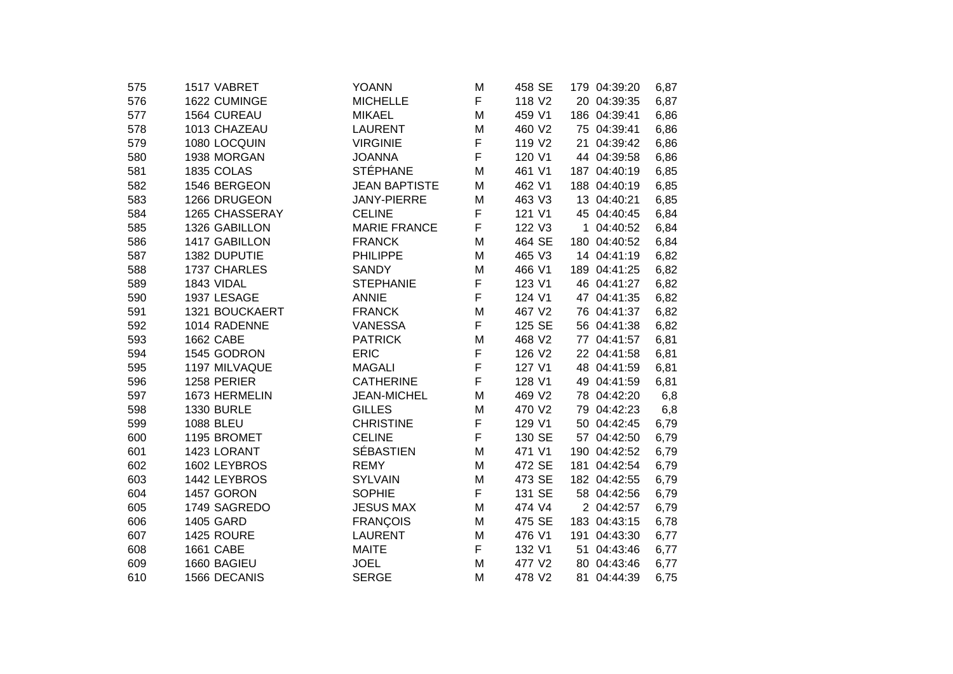| 1517 VABRET       | <b>YOANN</b>         | M                                 | 458 SE      | 179 04:39:20     | 6,87        |
|-------------------|----------------------|-----------------------------------|-------------|------------------|-------------|
| 1622 CUMINGE      | <b>MICHELLE</b>      | F                                 | 118 V2      | 20 04:39:35      | 6,87        |
| 1564 CUREAU       | <b>MIKAEL</b>        | M                                 | 459 V1      | 186 04:39:41     | 6,86        |
| 1013 CHAZEAU      | <b>LAURENT</b>       | M                                 | 460 V2      | 75 04:39:41      | 6,86        |
| 1080 LOCQUIN      | <b>VIRGINIE</b>      | F                                 | 119 V2      | 21 04:39:42      | 6,86        |
| 1938 MORGAN       | <b>JOANNA</b>        | F                                 | 120 V1      | 44 04:39:58      | 6,86        |
| 1835 COLAS        | <b>STÉPHANE</b>      | M                                 | 461 V1      | 187 04:40:19     | 6,85        |
| 1546 BERGEON      | <b>JEAN BAPTISTE</b> | M                                 | 462 V1      | 188 04:40:19     | 6,85        |
| 1266 DRUGEON      | <b>JANY-PIERRE</b>   | M                                 | 463 V3      | 13 04:40:21      | 6,85        |
| 1265 CHASSERAY    | <b>CELINE</b>        | F                                 | 121 V1      | 45 04:40:45      | 6,84        |
| 1326 GABILLON     | <b>MARIE FRANCE</b>  | F                                 | 122 V3      | 1 04:40:52       | 6,84        |
| 1417 GABILLON     | <b>FRANCK</b>        | M                                 | 464 SE      | 180 04:40:52     | 6,84        |
| 1382 DUPUTIE      | <b>PHILIPPE</b>      | M                                 | 465 V3      | 14 04:41:19      | 6,82        |
| 1737 CHARLES      | <b>SANDY</b>         | M                                 | 466 V1      | 189 04:41:25     | 6,82        |
| 1843 VIDAL        | <b>STEPHANIE</b>     | F                                 | 123 V1      | 46 04:41:27      | 6,82        |
| 1937 LESAGE       | <b>ANNIE</b>         | F                                 | 124 V1      | 47 04:41:35      | 6,82        |
| 1321 BOUCKAERT    | <b>FRANCK</b>        | M                                 | 467 V2      | 76 04:41:37      | 6,82        |
| 1014 RADENNE      | <b>VANESSA</b>       | F                                 | 125 SE      | 56 04:41:38      | 6,82        |
| <b>1662 CABE</b>  | <b>PATRICK</b>       | M                                 | 468 V2      | 77 04:41:57      | 6,81        |
| 1545 GODRON       | <b>ERIC</b>          | F                                 | 126 V2      | 22 04:41:58      | 6,81        |
| 1197 MILVAQUE     | <b>MAGALI</b>        | F                                 | 127 V1      | 48 04:41:59      | 6,81        |
| 1258 PERIER       | <b>CATHERINE</b>     | F                                 | 128 V1      | 49 04:41:59      | 6,81        |
| 1673 HERMELIN     | <b>JEAN-MICHEL</b>   | M                                 | 469 V2      | 78 04:42:20      | 6,8         |
| <b>1330 BURLE</b> | <b>GILLES</b>        | M                                 | 470 V2      | 79 04:42:23      | 6,8         |
| 1088 BLEU         | <b>CHRISTINE</b>     |                                   | 129 V1      |                  | 6,79        |
| 1195 BROMET       | <b>CELINE</b>        |                                   | 130 SE      | 57 04:42:50      | 6,79        |
| 1423 LORANT       |                      | M                                 | 471 V1      | 190 04:42:52     | 6,79        |
| 1602 LEYBROS      | <b>REMY</b>          | M                                 | 472 SE      | 181 04:42:54     | 6,79        |
| 1442 LEYBROS      | <b>SYLVAIN</b>       | M                                 | 473 SE      | 182 04:42:55     | 6,79        |
|                   |                      |                                   |             | 58 04:42:56      | 6,79        |
| 1749 SAGREDO      | <b>JESUS MAX</b>     | M                                 | 474 V4      | 2 04:42:57       | 6,79        |
| 1405 GARD         | <b>FRANÇOIS</b>      | M                                 |             | 183 04:43:15     | 6,78        |
| 1425 ROURE        | <b>LAURENT</b>       | M                                 | 476 V1      | 191 04:43:30     | 6,77        |
| 1661 CABE         | <b>MAITE</b>         | F                                 | 132 V1      | 51 04:43:46      | 6,77        |
| 1660 BAGIEU       | <b>JOEL</b>          | M                                 | 477 V2      | 80 04:43:46      | 6,77        |
| 1566 DECANIS      | <b>SERGE</b>         | M                                 | 478 V2      | 81 04:44:39      | 6,75        |
|                   | 1457 GORON           | <b>SÉBASTIEN</b><br><b>SOPHIE</b> | F<br>F<br>F | 131 SE<br>475 SE | 50 04:42:45 |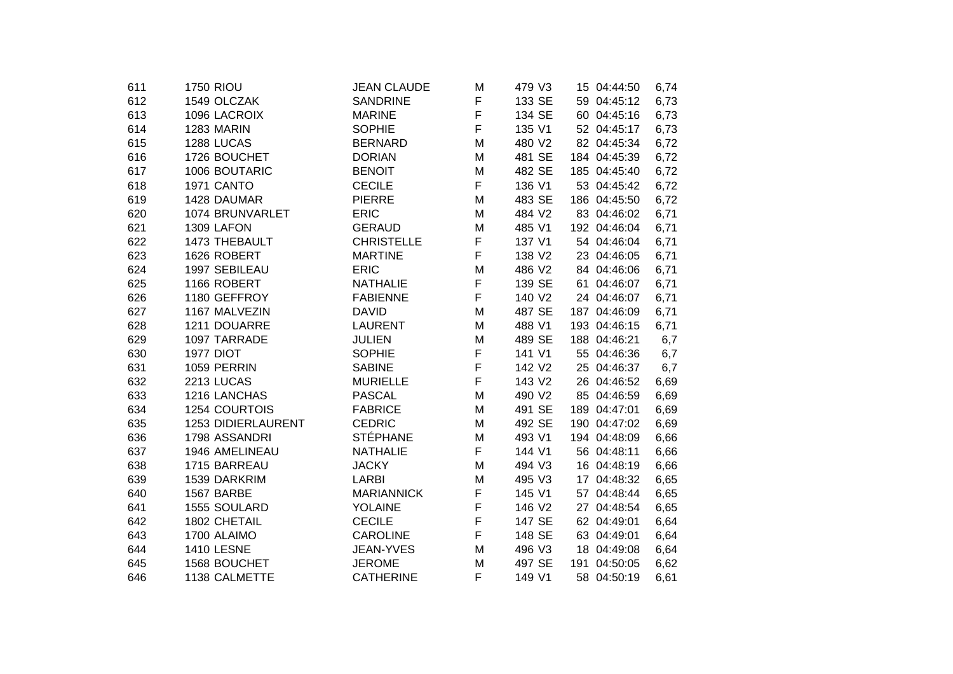| 611 | <b>1750 RIOU</b>     | <b>JEAN CLAUDE</b> | М | 479 V3 | 15 04:44:50  | 6,74 |
|-----|----------------------|--------------------|---|--------|--------------|------|
| 612 | 1549 OLCZAK          | <b>SANDRINE</b>    | F | 133 SE | 59 04:45:12  | 6,73 |
| 613 | 1096 LACROIX         | <b>MARINE</b>      | F | 134 SE | 60 04:45:16  | 6,73 |
| 614 | 1283 MARIN           | <b>SOPHIE</b>      | F | 135 V1 | 52 04:45:17  | 6,73 |
| 615 | 1288 LUCAS           | <b>BERNARD</b>     | M | 480 V2 | 82 04:45:34  | 6,72 |
| 616 | 1726 BOUCHET         | <b>DORIAN</b>      | M | 481 SE | 184 04:45:39 | 6,72 |
| 617 | 1006 BOUTARIC        | <b>BENOIT</b>      | M | 482 SE | 185 04:45:40 | 6,72 |
| 618 | 1971 CANTO           | <b>CECILE</b>      | F | 136 V1 | 53 04:45:42  | 6,72 |
| 619 | 1428 DAUMAR          | <b>PIERRE</b>      | M | 483 SE | 186 04:45:50 | 6,72 |
| 620 | 1074 BRUNVARLET      | <b>ERIC</b>        | Μ | 484 V2 | 83 04:46:02  | 6,71 |
| 621 | 1309 LAFON           | <b>GERAUD</b>      | M | 485 V1 | 192 04:46:04 | 6,71 |
| 622 | 1473 THEBAULT        | <b>CHRISTELLE</b>  | F | 137 V1 | 54 04:46:04  | 6,71 |
| 623 | 1626 ROBERT          | <b>MARTINE</b>     | F | 138 V2 | 23 04:46:05  | 6,71 |
| 624 | 1997 SEBILEAU        | <b>ERIC</b>        | M | 486 V2 | 84 04:46:06  | 6,71 |
| 625 | 1166 ROBERT          | <b>NATHALIE</b>    | F | 139 SE | 61 04:46:07  | 6,71 |
| 626 | 1180 GEFFROY         | <b>FABIENNE</b>    | F | 140 V2 | 24 04:46:07  | 6,71 |
| 627 | 1167 MALVEZIN        | <b>DAVID</b>       | M | 487 SE | 187 04:46:09 | 6,71 |
| 628 | 1211 DOUARRE         | <b>LAURENT</b>     | M | 488 V1 | 193 04:46:15 | 6,71 |
| 629 | 1097 TARRADE         | <b>JULIEN</b>      | M | 489 SE | 188 04:46:21 | 6,7  |
| 630 | <b>1977 DIOT</b>     | <b>SOPHIE</b>      | F | 141 V1 | 55 04:46:36  | 6,7  |
| 631 | 1059 PERRIN          | <b>SABINE</b>      | F | 142 V2 | 25 04:46:37  | 6,7  |
| 632 | 2213 LUCAS           | <b>MURIELLE</b>    | F | 143 V2 | 26 04:46:52  | 6,69 |
| 633 | 1216 LANCHAS         | <b>PASCAL</b>      | M | 490 V2 | 85 04:46:59  | 6,69 |
| 634 | <b>1254 COURTOIS</b> | <b>FABRICE</b>     | M | 491 SE | 189 04:47:01 | 6,69 |
| 635 | 1253 DIDIERLAURENT   | <b>CEDRIC</b>      | M | 492 SE | 190 04:47:02 | 6,69 |
| 636 | 1798 ASSANDRI        | <b>STÉPHANE</b>    | M | 493 V1 | 194 04:48:09 | 6,66 |
| 637 | 1946 AMELINEAU       | <b>NATHALIE</b>    | F | 144 V1 | 56 04:48:11  | 6,66 |
| 638 | 1715 BARREAU         | <b>JACKY</b>       | M | 494 V3 | 16 04:48:19  | 6,66 |
| 639 | 1539 DARKRIM         | <b>LARBI</b>       | M | 495 V3 | 17 04:48:32  | 6,65 |
| 640 | 1567 BARBE           | <b>MARIANNICK</b>  | F | 145 V1 | 57 04:48:44  | 6,65 |
| 641 | 1555 SOULARD         | <b>YOLAINE</b>     | F | 146 V2 | 27 04:48:54  | 6,65 |
| 642 | 1802 CHETAIL         | <b>CECILE</b>      | F | 147 SE | 62 04:49:01  | 6,64 |
| 643 | 1700 ALAIMO          | <b>CAROLINE</b>    | F | 148 SE | 63 04:49:01  | 6,64 |
| 644 | <b>1410 LESNE</b>    | <b>JEAN-YVES</b>   | м | 496 V3 | 18 04:49:08  | 6,64 |
| 645 | 1568 BOUCHET         | <b>JEROME</b>      | M | 497 SE | 191 04:50:05 | 6,62 |
| 646 | 1138 CALMETTE        | <b>CATHERINE</b>   | F | 149 V1 | 58 04:50:19  | 6,61 |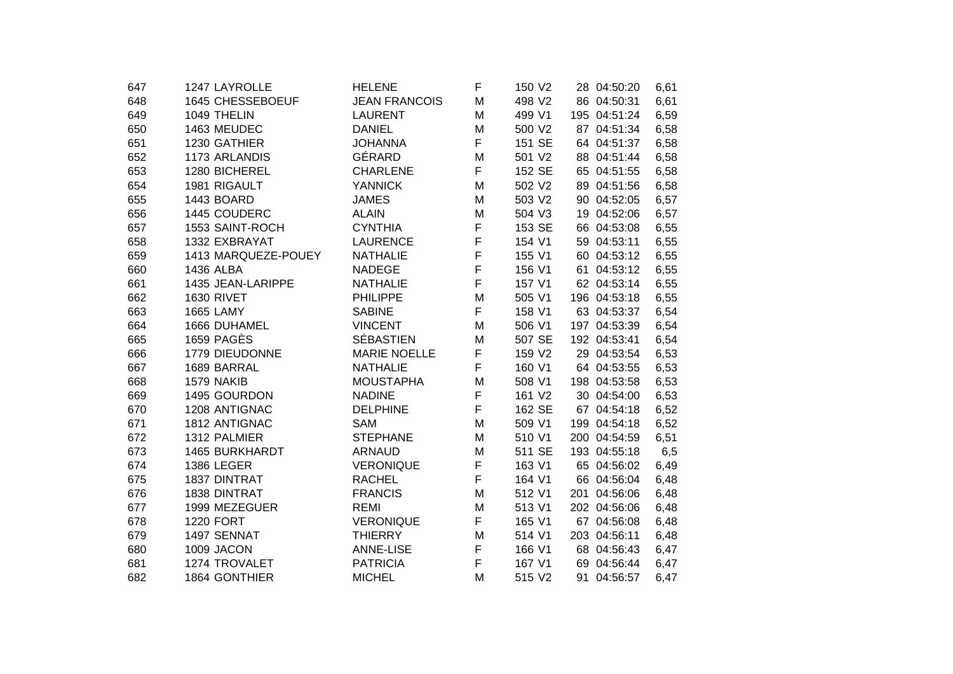| 647 | 1247 LAYROLLE       | <b>HELENE</b>        | F | 150 V2 | 28 04:50:20  | 6,61 |
|-----|---------------------|----------------------|---|--------|--------------|------|
| 648 | 1645 CHESSEBOEUF    | <b>JEAN FRANCOIS</b> | M | 498 V2 | 86 04:50:31  | 6,61 |
| 649 | 1049 THELIN         | <b>LAURENT</b>       | M | 499 V1 | 195 04:51:24 | 6,59 |
| 650 | 1463 MEUDEC         | <b>DANIEL</b>        | M | 500 V2 | 87 04:51:34  | 6,58 |
| 651 | 1230 GATHIER        | <b>JOHANNA</b>       | F | 151 SE | 64 04:51:37  | 6,58 |
| 652 | 1173 ARLANDIS       | GÉRARD               | M | 501 V2 | 88 04:51:44  | 6,58 |
| 653 | 1280 BICHEREL       | <b>CHARLENE</b>      | F | 152 SE | 65 04:51:55  | 6,58 |
| 654 | 1981 RIGAULT        | <b>YANNICK</b>       | M | 502 V2 | 89 04:51:56  | 6,58 |
| 655 | 1443 BOARD          | <b>JAMES</b>         | M | 503 V2 | 90 04:52:05  | 6,57 |
| 656 | 1445 COUDERC        | <b>ALAIN</b>         | M | 504 V3 | 19 04:52:06  | 6,57 |
| 657 | 1553 SAINT-ROCH     | <b>CYNTHIA</b>       | F | 153 SE | 66 04:53:08  | 6,55 |
| 658 | 1332 EXBRAYAT       | <b>LAURENCE</b>      | F | 154 V1 | 59 04:53:11  | 6,55 |
| 659 | 1413 MARQUEZE-POUEY | <b>NATHALIE</b>      | F | 155 V1 | 60 04:53:12  | 6,55 |
| 660 | 1436 ALBA           | <b>NADEGE</b>        | F | 156 V1 | 61 04:53:12  | 6,55 |
| 661 | 1435 JEAN-LARIPPE   | <b>NATHALIE</b>      | F | 157 V1 | 62 04:53:14  | 6,55 |
| 662 | <b>1630 RIVET</b>   | <b>PHILIPPE</b>      | M | 505 V1 | 196 04:53:18 | 6,55 |
| 663 | <b>1665 LAMY</b>    | <b>SABINE</b>        | F | 158 V1 | 63 04:53:37  | 6,54 |
| 664 | 1666 DUHAMEL        | <b>VINCENT</b>       | M | 506 V1 | 197 04:53:39 | 6,54 |
| 665 | <b>1659 PAGÈS</b>   | <b>SÉBASTIEN</b>     | M | 507 SE | 192 04:53:41 | 6,54 |
| 666 | 1779 DIEUDONNE      | <b>MARIE NOELLE</b>  | F | 159 V2 | 29 04:53:54  | 6,53 |
| 667 | 1689 BARRAL         | <b>NATHALIE</b>      | F | 160 V1 | 64 04:53:55  | 6,53 |
| 668 | 1579 NAKIB          | <b>MOUSTAPHA</b>     | M | 508 V1 | 198 04:53:58 | 6,53 |
| 669 | 1495 GOURDON        | <b>NADINE</b>        | F | 161 V2 | 30 04:54:00  | 6,53 |
| 670 | 1208 ANTIGNAC       | <b>DELPHINE</b>      | F | 162 SE | 67 04:54:18  | 6,52 |
| 671 | 1812 ANTIGNAC       | <b>SAM</b>           | M | 509 V1 | 199 04:54:18 | 6,52 |
| 672 | 1312 PALMIER        | <b>STEPHANE</b>      | M | 510 V1 | 200 04:54:59 | 6,51 |
| 673 | 1465 BURKHARDT      | <b>ARNAUD</b>        | M | 511 SE | 193 04:55:18 | 6,5  |
| 674 | <b>1386 LEGER</b>   | <b>VERONIQUE</b>     | F | 163 V1 | 65 04:56:02  | 6,49 |
| 675 | 1837 DINTRAT        | <b>RACHEL</b>        | F | 164 V1 | 66 04:56:04  | 6,48 |
| 676 | 1838 DINTRAT        | <b>FRANCIS</b>       | M | 512 V1 | 201 04:56:06 | 6,48 |
| 677 | 1999 MEZEGUER       | <b>REMI</b>          | M | 513 V1 | 202 04:56:06 | 6,48 |
| 678 | <b>1220 FORT</b>    | <b>VERONIQUE</b>     | F | 165 V1 | 67 04:56:08  | 6,48 |
| 679 | 1497 SENNAT         | <b>THIERRY</b>       | M | 514 V1 | 203 04:56:11 | 6,48 |
| 680 | 1009 JACON          | <b>ANNE-LISE</b>     | F | 166 V1 | 68 04:56:43  | 6,47 |
| 681 | 1274 TROVALET       | <b>PATRICIA</b>      | F | 167 V1 | 69 04:56:44  | 6,47 |
| 682 | 1864 GONTHIER       | <b>MICHEL</b>        | M | 515 V2 | 91 04:56:57  | 6,47 |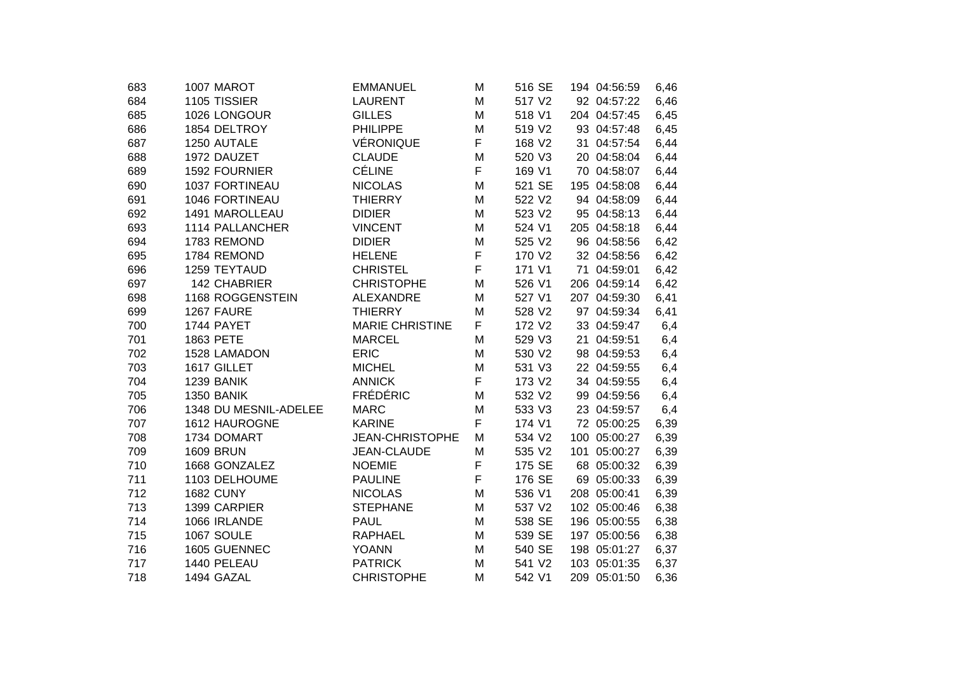| 683 | 1007 MAROT            | <b>EMMANUEL</b>        | M | 516 SE | 194 04:56:59 | 6,46 |
|-----|-----------------------|------------------------|---|--------|--------------|------|
| 684 | 1105 TISSIER          | <b>LAURENT</b>         | M | 517 V2 | 92 04:57:22  | 6,46 |
| 685 | 1026 LONGOUR          | <b>GILLES</b>          | M | 518 V1 | 204 04:57:45 | 6,45 |
| 686 | 1854 DELTROY          | <b>PHILIPPE</b>        | M | 519 V2 | 93 04:57:48  | 6,45 |
| 687 | 1250 AUTALE           | VÉRONIQUE              | F | 168 V2 | 31 04:57:54  | 6,44 |
| 688 | 1972 DAUZET           | <b>CLAUDE</b>          | M | 520 V3 | 20 04:58:04  | 6,44 |
| 689 | 1592 FOURNIER         | <b>CÉLINE</b>          | F | 169 V1 | 70 04:58:07  | 6,44 |
| 690 | 1037 FORTINEAU        | <b>NICOLAS</b>         | M | 521 SE | 195 04:58:08 | 6,44 |
| 691 | 1046 FORTINEAU        | <b>THIERRY</b>         | M | 522 V2 | 94 04:58:09  | 6,44 |
| 692 | 1491 MAROLLEAU        | <b>DIDIER</b>          | M | 523 V2 | 95 04:58:13  | 6,44 |
| 693 | 1114 PALLANCHER       | <b>VINCENT</b>         | M | 524 V1 | 205 04:58:18 | 6,44 |
| 694 | 1783 REMOND           | <b>DIDIER</b>          | M | 525 V2 | 96 04:58:56  | 6,42 |
| 695 | 1784 REMOND           | <b>HELENE</b>          | F | 170 V2 | 32 04:58:56  | 6,42 |
| 696 | 1259 TEYTAUD          | <b>CHRISTEL</b>        | F | 171 V1 | 71 04:59:01  | 6,42 |
| 697 | 142 CHABRIER          | <b>CHRISTOPHE</b>      | M | 526 V1 | 206 04:59:14 | 6,42 |
| 698 | 1168 ROGGENSTEIN      | <b>ALEXANDRE</b>       | M | 527 V1 | 207 04:59:30 | 6,41 |
| 699 | 1267 FAURE            | <b>THIERRY</b>         | M | 528 V2 | 97 04:59:34  | 6,41 |
| 700 | 1744 PAYET            | <b>MARIE CHRISTINE</b> | F | 172 V2 | 33 04:59:47  | 6,4  |
| 701 | 1863 PETE             | <b>MARCEL</b>          | M | 529 V3 | 21 04:59:51  | 6,4  |
| 702 | 1528 LAMADON          | <b>ERIC</b>            | M | 530 V2 | 98 04:59:53  | 6,4  |
| 703 | 1617 GILLET           | <b>MICHEL</b>          | M | 531 V3 | 22 04:59:55  | 6,4  |
| 704 | 1239 BANIK            | <b>ANNICK</b>          | F | 173 V2 | 34 04:59:55  | 6,4  |
| 705 | 1350 BANIK            | <b>FRÉDÉRIC</b>        | M | 532 V2 | 99 04:59:56  | 6,4  |
| 706 | 1348 DU MESNIL-ADELEE | <b>MARC</b>            | M | 533 V3 | 23 04:59:57  | 6,4  |
| 707 | 1612 HAUROGNE         | <b>KARINE</b>          | F | 174 V1 | 72 05:00:25  | 6,39 |
| 708 | 1734 DOMART           | <b>JEAN-CHRISTOPHE</b> | M | 534 V2 | 100 05:00:27 | 6,39 |
| 709 | <b>1609 BRUN</b>      | JEAN-CLAUDE            | M | 535 V2 | 101 05:00:27 | 6,39 |
| 710 | 1668 GONZALEZ         | <b>NOEMIE</b>          | F | 175 SE | 68 05:00:32  | 6,39 |
| 711 | 1103 DELHOUME         | <b>PAULINE</b>         | F | 176 SE | 69 05:00:33  | 6,39 |
| 712 | <b>1682 CUNY</b>      | <b>NICOLAS</b>         | M | 536 V1 | 208 05:00:41 | 6,39 |
| 713 | 1399 CARPIER          | <b>STEPHANE</b>        | M | 537 V2 | 102 05:00:46 | 6,38 |
| 714 | 1066 IRLANDE          | <b>PAUL</b>            | M | 538 SE | 196 05:00:55 | 6,38 |
| 715 | 1067 SOULE            | <b>RAPHAEL</b>         | M | 539 SE | 197 05:00:56 | 6,38 |
| 716 | 1605 GUENNEC          | <b>YOANN</b>           | M | 540 SE | 198 05:01:27 | 6,37 |
| 717 | 1440 PELEAU           | <b>PATRICK</b>         | M | 541 V2 | 103 05:01:35 | 6,37 |
| 718 | 1494 GAZAL            | <b>CHRISTOPHE</b>      | M | 542 V1 | 209 05:01:50 | 6,36 |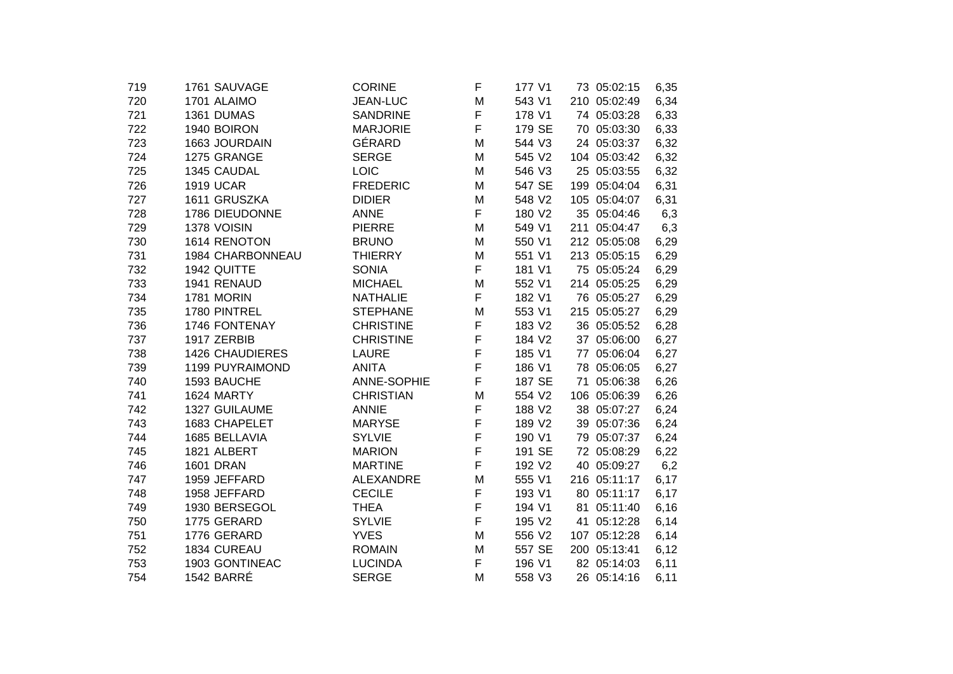| 719 | 1761 SAUVAGE           | <b>CORINE</b>    | F | 177 V1             | 73 05:02:15    | 6,35 |
|-----|------------------------|------------------|---|--------------------|----------------|------|
| 720 | 1701 ALAIMO            | <b>JEAN-LUC</b>  | M | 543 V1             | 210 05:02:49   | 6,34 |
| 721 | 1361 DUMAS             | <b>SANDRINE</b>  | F | 178 V1             | 74 05:03:28    | 6,33 |
| 722 | 1940 BOIRON            | <b>MARJORIE</b>  | F | 179 SE             | 70 05:03:30    | 6,33 |
| 723 | 1663 JOURDAIN          | GÉRARD           | M | 544 V3             | 24 05:03:37    | 6,32 |
| 724 | 1275 GRANGE            | <b>SERGE</b>     | M | 545 V2             | 104 05:03:42   | 6,32 |
| 725 | 1345 CAUDAL            | <b>LOIC</b>      | Μ | 546 V3             | 25 05:03:55    | 6,32 |
| 726 | <b>1919 UCAR</b>       | <b>FREDERIC</b>  | M | 547 SE             | 199 05:04:04   | 6,31 |
| 727 | 1611 GRUSZKA           | <b>DIDIER</b>    | M | 548 V2             | 105 05:04:07   | 6,31 |
| 728 | 1786 DIEUDONNE         | <b>ANNE</b>      | F | 180 V2             | 35 05:04:46    | 6,3  |
| 729 | 1378 VOISIN            | <b>PIERRE</b>    | M | 549 V1             | 211 05:04:47   | 6,3  |
| 730 | 1614 RENOTON           | <b>BRUNO</b>     | Μ | 550 V1             | 212 05:05:08   | 6,29 |
| 731 | 1984 CHARBONNEAU       | <b>THIERRY</b>   | M | 551 V1             | 213 05:05:15   | 6,29 |
| 732 | 1942 QUITTE            | <b>SONIA</b>     | F | 181 V1             | 75 05:05:24    | 6,29 |
| 733 | 1941 RENAUD            | <b>MICHAEL</b>   | M | 552 V1             | 214 05:05:25   | 6,29 |
| 734 | 1781 MORIN             | <b>NATHALIE</b>  | F | 182 V1             | 76 05:05:27    | 6,29 |
| 735 | 1780 PINTREL           | <b>STEPHANE</b>  | M | 553 V1             | 215 05:05:27   | 6,29 |
| 736 | 1746 FONTENAY          | <b>CHRISTINE</b> | F | 183 V2             | 36 05:05:52    | 6,28 |
| 737 | 1917 ZERBIB            | <b>CHRISTINE</b> | F | 184 V2             | 37 05:06:00    | 6,27 |
| 738 | <b>1426 CHAUDIERES</b> | <b>LAURE</b>     | F | 185 V1             | 77 05:06:04    | 6,27 |
| 739 | 1199 PUYRAIMOND        | <b>ANITA</b>     | F | 186 V1             | 78 05:06:05    | 6,27 |
| 740 | 1593 BAUCHE            | ANNE-SOPHIE      | F | 187 SE             | 71<br>05:06:38 | 6,26 |
| 741 | 1624 MARTY             | <b>CHRISTIAN</b> | M | 554 V2             | 106 05:06:39   | 6,26 |
| 742 | 1327 GUILAUME          | <b>ANNIE</b>     | F | 188 V2             | 38 05:07:27    | 6,24 |
| 743 | 1683 CHAPELET          | <b>MARYSE</b>    | F | 189 V2             | 39 05:07:36    | 6,24 |
| 744 | 1685 BELLAVIA          | <b>SYLVIE</b>    | F | 190 V1             | 79 05:07:37    | 6,24 |
| 745 | 1821 ALBERT            | <b>MARION</b>    | F | 191 SE             | 72 05:08:29    | 6,22 |
| 746 | <b>1601 DRAN</b>       | <b>MARTINE</b>   | F | 192 V2             | 40 05:09:27    | 6,2  |
| 747 | 1959 JEFFARD           | <b>ALEXANDRE</b> | M | 555 V1             | 216 05:11:17   | 6,17 |
| 748 | 1958 JEFFARD           | <b>CECILE</b>    | F | 193 V1             | 80 05:11:17    | 6,17 |
| 749 | 1930 BERSEGOL          | <b>THEA</b>      | F | 194 V1             | 81 05:11:40    | 6,16 |
| 750 | 1775 GERARD            | <b>SYLVIE</b>    | F | 195 V <sub>2</sub> | 41 05:12:28    | 6,14 |
| 751 | 1776 GERARD            | <b>YVES</b>      | M | 556 V2             | 107 05:12:28   | 6,14 |
| 752 | 1834 CUREAU            | <b>ROMAIN</b>    | M | 557 SE             | 200 05:13:41   | 6,12 |
| 753 | 1903 GONTINEAC         | <b>LUCINDA</b>   | F | 196 V1             | 82 05:14:03    | 6,11 |
| 754 | <b>1542 BARRÉ</b>      | <b>SERGE</b>     | M | 558 V3             | 26 05:14:16    | 6,11 |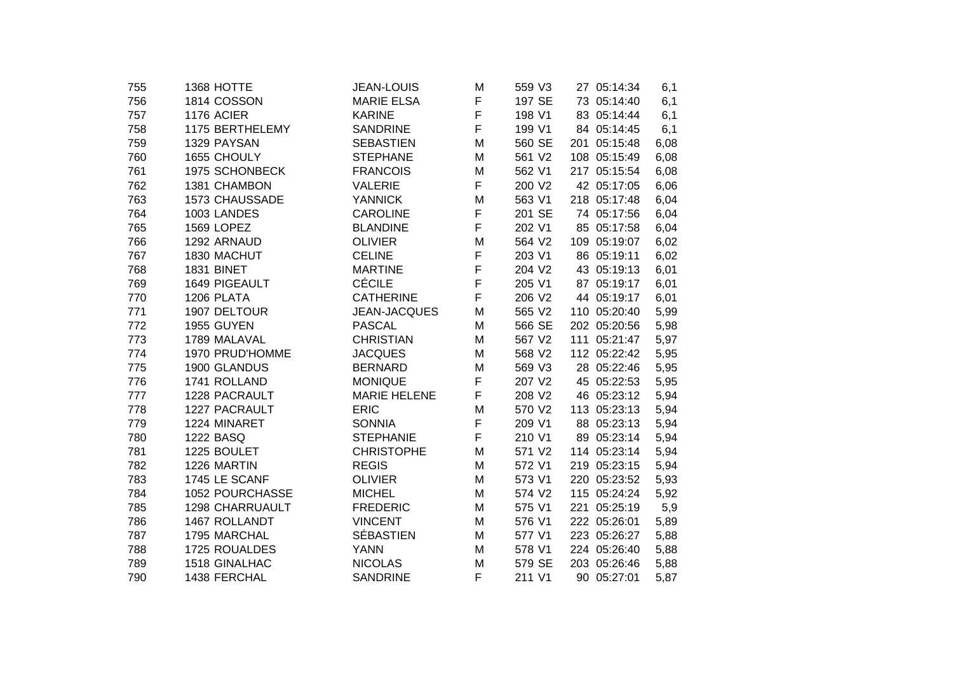| 755 | 1368 HOTTE             | <b>JEAN-LOUIS</b>   | M | 559 V3 | 27 05:14:34  | 6,1  |
|-----|------------------------|---------------------|---|--------|--------------|------|
| 756 | 1814 COSSON            | <b>MARIE ELSA</b>   | F | 197 SE | 73 05:14:40  | 6,1  |
| 757 | 1176 ACIER             | <b>KARINE</b>       | F | 198 V1 | 83 05:14:44  | 6,1  |
| 758 | 1175 BERTHELEMY        | <b>SANDRINE</b>     | F | 199 V1 | 84 05:14:45  | 6,1  |
| 759 | 1329 PAYSAN            | <b>SEBASTIEN</b>    | M | 560 SE | 201 05:15:48 | 6,08 |
| 760 | 1655 CHOULY            | <b>STEPHANE</b>     | M | 561 V2 | 108 05:15:49 | 6,08 |
| 761 | 1975 SCHONBECK         | <b>FRANCOIS</b>     | M | 562 V1 | 217 05:15:54 | 6,08 |
| 762 | 1381 CHAMBON           | <b>VALERIE</b>      | F | 200 V2 | 42 05:17:05  | 6,06 |
| 763 | 1573 CHAUSSADE         | <b>YANNICK</b>      | M | 563 V1 | 218 05:17:48 | 6,04 |
| 764 | 1003 LANDES            | <b>CAROLINE</b>     | F | 201 SE | 74 05:17:56  | 6,04 |
| 765 | 1569 LOPEZ             | <b>BLANDINE</b>     | F | 202 V1 | 85 05:17:58  | 6,04 |
| 766 | 1292 ARNAUD            | <b>OLIVIER</b>      | M | 564 V2 | 109 05:19:07 | 6,02 |
| 767 | 1830 MACHUT            | <b>CELINE</b>       | F | 203 V1 | 86 05:19:11  | 6,02 |
| 768 | <b>1831 BINET</b>      | <b>MARTINE</b>      | F | 204 V2 | 43 05:19:13  | 6,01 |
| 769 | 1649 PIGEAULT          | <b>CÉCILE</b>       | F | 205 V1 | 87 05:19:17  | 6,01 |
| 770 | 1206 PLATA             | <b>CATHERINE</b>    | F | 206 V2 | 44 05:19:17  | 6,01 |
| 771 | 1907 DELTOUR           | JEAN-JACQUES        | M | 565 V2 | 110 05:20:40 | 5,99 |
| 772 | 1955 GUYEN             | <b>PASCAL</b>       | M | 566 SE | 202 05:20:56 | 5,98 |
| 773 | 1789 MALAVAL           | <b>CHRISTIAN</b>    | M | 567 V2 | 111 05:21:47 | 5,97 |
| 774 | 1970 PRUD'HOMME        | <b>JACQUES</b>      | M | 568 V2 | 112 05:22:42 | 5,95 |
| 775 | 1900 GLANDUS           | <b>BERNARD</b>      | M | 569 V3 | 28 05:22:46  | 5,95 |
| 776 | 1741 ROLLAND           | <b>MONIQUE</b>      | F | 207 V2 | 45 05:22:53  | 5,95 |
| 777 | 1228 PACRAULT          | <b>MARIE HELENE</b> | F | 208 V2 | 46 05:23:12  | 5,94 |
| 778 | 1227 PACRAULT          | <b>ERIC</b>         | M | 570 V2 | 113 05:23:13 | 5,94 |
| 779 | 1224 MINARET           | <b>SONNIA</b>       | F | 209 V1 | 88 05:23:13  | 5,94 |
| 780 | 1222 BASQ              | <b>STEPHANIE</b>    | F | 210 V1 | 89 05:23:14  | 5,94 |
| 781 | 1225 BOULET            | <b>CHRISTOPHE</b>   | M | 571 V2 | 114 05:23:14 | 5,94 |
| 782 | 1226 MARTIN            | <b>REGIS</b>        | M | 572 V1 | 219 05:23:15 | 5,94 |
| 783 | 1745 LE SCANF          | <b>OLIVIER</b>      | M | 573 V1 | 220 05:23:52 | 5,93 |
| 784 | 1052 POURCHASSE        | <b>MICHEL</b>       | M | 574 V2 | 115 05:24:24 | 5,92 |
| 785 | <b>1298 CHARRUAULT</b> | <b>FREDERIC</b>     | M | 575 V1 | 221 05:25:19 | 5,9  |
| 786 | 1467 ROLLANDT          | <b>VINCENT</b>      | M | 576 V1 | 222 05:26:01 | 5,89 |
| 787 | 1795 MARCHAL           | <b>SÉBASTIEN</b>    | M | 577 V1 | 223 05:26:27 | 5,88 |
| 788 | 1725 ROUALDES          | <b>YANN</b>         | M | 578 V1 | 224 05:26:40 | 5,88 |
| 789 | 1518 GINALHAC          | <b>NICOLAS</b>      | M | 579 SE | 203 05:26:46 | 5,88 |
| 790 | 1438 FERCHAL           | <b>SANDRINE</b>     | F | 211 V1 | 90 05:27:01  | 5,87 |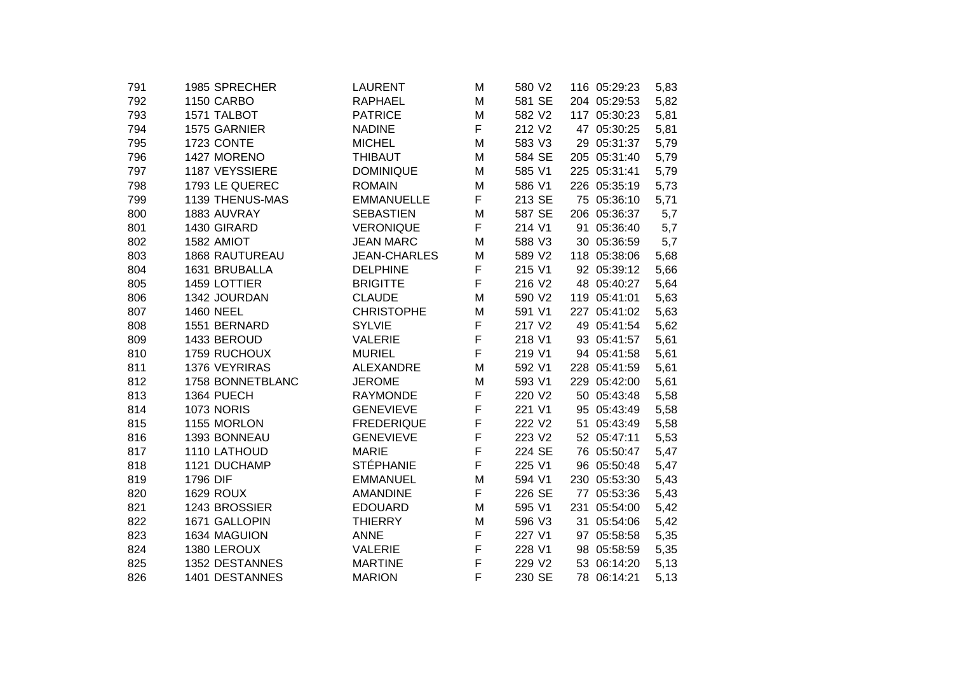| 1985 SPRECHER         | <b>LAURENT</b>                                                                                                                                                                                                          | M                                                                                                                                                                                         | 580 V2                                                             | 116 05:29:23                                                                                                                     | 5,83                                                                                                                                                                                                                                                                                                                                                                                                                                                                                                                                                   |
|-----------------------|-------------------------------------------------------------------------------------------------------------------------------------------------------------------------------------------------------------------------|-------------------------------------------------------------------------------------------------------------------------------------------------------------------------------------------|--------------------------------------------------------------------|----------------------------------------------------------------------------------------------------------------------------------|--------------------------------------------------------------------------------------------------------------------------------------------------------------------------------------------------------------------------------------------------------------------------------------------------------------------------------------------------------------------------------------------------------------------------------------------------------------------------------------------------------------------------------------------------------|
| 1150 CARBO            | <b>RAPHAEL</b>                                                                                                                                                                                                          | M                                                                                                                                                                                         | 581 SE                                                             |                                                                                                                                  | 5,82                                                                                                                                                                                                                                                                                                                                                                                                                                                                                                                                                   |
| 1571 TALBOT           | <b>PATRICE</b>                                                                                                                                                                                                          | M                                                                                                                                                                                         | 582 V2                                                             |                                                                                                                                  | 5,81                                                                                                                                                                                                                                                                                                                                                                                                                                                                                                                                                   |
| 1575 GARNIER          | <b>NADINE</b>                                                                                                                                                                                                           | F                                                                                                                                                                                         | 212 V2                                                             |                                                                                                                                  | 5,81                                                                                                                                                                                                                                                                                                                                                                                                                                                                                                                                                   |
| 1723 CONTE            | <b>MICHEL</b>                                                                                                                                                                                                           | M                                                                                                                                                                                         | 583 V3                                                             |                                                                                                                                  | 5,79                                                                                                                                                                                                                                                                                                                                                                                                                                                                                                                                                   |
| 1427 MORENO           | <b>THIBAUT</b>                                                                                                                                                                                                          | M                                                                                                                                                                                         | 584 SE                                                             |                                                                                                                                  | 5,79                                                                                                                                                                                                                                                                                                                                                                                                                                                                                                                                                   |
| 1187 VEYSSIERE        | <b>DOMINIQUE</b>                                                                                                                                                                                                        | M                                                                                                                                                                                         | 585 V1                                                             |                                                                                                                                  | 5,79                                                                                                                                                                                                                                                                                                                                                                                                                                                                                                                                                   |
| 1793 LE QUEREC        | <b>ROMAIN</b>                                                                                                                                                                                                           | M                                                                                                                                                                                         | 586 V1                                                             |                                                                                                                                  | 5,73                                                                                                                                                                                                                                                                                                                                                                                                                                                                                                                                                   |
| 1139 THENUS-MAS       | <b>EMMANUELLE</b>                                                                                                                                                                                                       | F                                                                                                                                                                                         | 213 SE                                                             |                                                                                                                                  | 5,71                                                                                                                                                                                                                                                                                                                                                                                                                                                                                                                                                   |
| 1883 AUVRAY           | <b>SEBASTIEN</b>                                                                                                                                                                                                        | M                                                                                                                                                                                         | 587 SE                                                             |                                                                                                                                  | 5,7                                                                                                                                                                                                                                                                                                                                                                                                                                                                                                                                                    |
| 1430 GIRARD           | <b>VERONIQUE</b>                                                                                                                                                                                                        | F                                                                                                                                                                                         | 214 V1                                                             |                                                                                                                                  | 5,7                                                                                                                                                                                                                                                                                                                                                                                                                                                                                                                                                    |
| 1582 AMIOT            | <b>JEAN MARC</b>                                                                                                                                                                                                        | M                                                                                                                                                                                         | 588 V3                                                             |                                                                                                                                  | 5,7                                                                                                                                                                                                                                                                                                                                                                                                                                                                                                                                                    |
| <b>1868 RAUTUREAU</b> | <b>JEAN-CHARLES</b>                                                                                                                                                                                                     | M                                                                                                                                                                                         | 589 V2                                                             |                                                                                                                                  | 5,68                                                                                                                                                                                                                                                                                                                                                                                                                                                                                                                                                   |
| 1631 BRUBALLA         | <b>DELPHINE</b>                                                                                                                                                                                                         |                                                                                                                                                                                           | 215 V1                                                             |                                                                                                                                  | 5,66                                                                                                                                                                                                                                                                                                                                                                                                                                                                                                                                                   |
| 1459 LOTTIER          | <b>BRIGITTE</b>                                                                                                                                                                                                         |                                                                                                                                                                                           | 216 V <sub>2</sub>                                                 |                                                                                                                                  | 5,64                                                                                                                                                                                                                                                                                                                                                                                                                                                                                                                                                   |
| 1342 JOURDAN          | <b>CLAUDE</b>                                                                                                                                                                                                           | M                                                                                                                                                                                         | 590 V2                                                             |                                                                                                                                  | 5,63                                                                                                                                                                                                                                                                                                                                                                                                                                                                                                                                                   |
| <b>1460 NEEL</b>      | <b>CHRISTOPHE</b>                                                                                                                                                                                                       | M                                                                                                                                                                                         | 591 V1                                                             |                                                                                                                                  | 5,63                                                                                                                                                                                                                                                                                                                                                                                                                                                                                                                                                   |
| 1551 BERNARD          | <b>SYLVIE</b>                                                                                                                                                                                                           |                                                                                                                                                                                           | 217 V2                                                             |                                                                                                                                  | 5,62                                                                                                                                                                                                                                                                                                                                                                                                                                                                                                                                                   |
| 1433 BEROUD           | <b>VALERIE</b>                                                                                                                                                                                                          |                                                                                                                                                                                           | 218 V1                                                             |                                                                                                                                  | 5,61                                                                                                                                                                                                                                                                                                                                                                                                                                                                                                                                                   |
| 1759 RUCHOUX          | <b>MURIEL</b>                                                                                                                                                                                                           | F                                                                                                                                                                                         | 219 V1                                                             |                                                                                                                                  | 5,61                                                                                                                                                                                                                                                                                                                                                                                                                                                                                                                                                   |
|                       | <b>ALEXANDRE</b>                                                                                                                                                                                                        | M                                                                                                                                                                                         | 592 V1                                                             |                                                                                                                                  | 5,61                                                                                                                                                                                                                                                                                                                                                                                                                                                                                                                                                   |
| 1758 BONNETBLANC      | <b>JEROME</b>                                                                                                                                                                                                           | M                                                                                                                                                                                         | 593 V1                                                             |                                                                                                                                  | 5,61                                                                                                                                                                                                                                                                                                                                                                                                                                                                                                                                                   |
| 1364 PUECH            |                                                                                                                                                                                                                         |                                                                                                                                                                                           |                                                                    |                                                                                                                                  | 5,58                                                                                                                                                                                                                                                                                                                                                                                                                                                                                                                                                   |
|                       |                                                                                                                                                                                                                         |                                                                                                                                                                                           |                                                                    |                                                                                                                                  | 5,58                                                                                                                                                                                                                                                                                                                                                                                                                                                                                                                                                   |
|                       |                                                                                                                                                                                                                         |                                                                                                                                                                                           |                                                                    |                                                                                                                                  | 5,58                                                                                                                                                                                                                                                                                                                                                                                                                                                                                                                                                   |
|                       |                                                                                                                                                                                                                         |                                                                                                                                                                                           |                                                                    |                                                                                                                                  | 5,53                                                                                                                                                                                                                                                                                                                                                                                                                                                                                                                                                   |
|                       | <b>MARIE</b>                                                                                                                                                                                                            |                                                                                                                                                                                           |                                                                    |                                                                                                                                  | 5,47                                                                                                                                                                                                                                                                                                                                                                                                                                                                                                                                                   |
|                       |                                                                                                                                                                                                                         |                                                                                                                                                                                           |                                                                    |                                                                                                                                  | 5,47                                                                                                                                                                                                                                                                                                                                                                                                                                                                                                                                                   |
|                       |                                                                                                                                                                                                                         |                                                                                                                                                                                           |                                                                    |                                                                                                                                  | 5,43                                                                                                                                                                                                                                                                                                                                                                                                                                                                                                                                                   |
|                       |                                                                                                                                                                                                                         |                                                                                                                                                                                           |                                                                    |                                                                                                                                  | 5,43                                                                                                                                                                                                                                                                                                                                                                                                                                                                                                                                                   |
|                       |                                                                                                                                                                                                                         | M                                                                                                                                                                                         |                                                                    |                                                                                                                                  | 5,42                                                                                                                                                                                                                                                                                                                                                                                                                                                                                                                                                   |
|                       |                                                                                                                                                                                                                         | M                                                                                                                                                                                         |                                                                    |                                                                                                                                  | 5,42                                                                                                                                                                                                                                                                                                                                                                                                                                                                                                                                                   |
|                       |                                                                                                                                                                                                                         | F                                                                                                                                                                                         |                                                                    |                                                                                                                                  | 5,35                                                                                                                                                                                                                                                                                                                                                                                                                                                                                                                                                   |
| 1380 LEROUX           | <b>VALERIE</b>                                                                                                                                                                                                          | F                                                                                                                                                                                         |                                                                    |                                                                                                                                  | 5,35                                                                                                                                                                                                                                                                                                                                                                                                                                                                                                                                                   |
|                       | <b>MARTINE</b>                                                                                                                                                                                                          |                                                                                                                                                                                           | 229 V2                                                             |                                                                                                                                  | 5,13                                                                                                                                                                                                                                                                                                                                                                                                                                                                                                                                                   |
|                       | <b>MARION</b>                                                                                                                                                                                                           |                                                                                                                                                                                           | 230 SE                                                             |                                                                                                                                  | 5,13                                                                                                                                                                                                                                                                                                                                                                                                                                                                                                                                                   |
|                       | 1376 VEYRIRAS<br><b>1073 NORIS</b><br>1155 MORLON<br>1393 BONNEAU<br>1110 LATHOUD<br>1121 DUCHAMP<br>1796 DIF<br><b>1629 ROUX</b><br>1243 BROSSIER<br>1671 GALLOPIN<br>1634 MAGUION<br>1352 DESTANNES<br>1401 DESTANNES | <b>RAYMONDE</b><br><b>GENEVIEVE</b><br><b>FREDERIQUE</b><br><b>GENEVIEVE</b><br><b>STÉPHANIE</b><br><b>EMMANUEL</b><br><b>AMANDINE</b><br><b>EDOUARD</b><br><b>THIERRY</b><br><b>ANNE</b> | F<br>F<br>F<br>F<br>F<br>F<br>F<br>F<br>F<br>F<br>M<br>F<br>F<br>F | 220 V2<br>221 V1<br>222 V <sub>2</sub><br>223 V2<br>224 SE<br>225 V1<br>594 V1<br>226 SE<br>595 V1<br>596 V3<br>227 V1<br>228 V1 | 204 05:29:53<br>117 05:30:23<br>47 05:30:25<br>29 05:31:37<br>205 05:31:40<br>225 05:31:41<br>226 05:35:19<br>75 05:36:10<br>206 05:36:37<br>91 05:36:40<br>30 05:36:59<br>118 05:38:06<br>92 05:39:12<br>48 05:40:27<br>119 05:41:01<br>227 05:41:02<br>49 05:41:54<br>93 05:41:57<br>94 05:41:58<br>228 05:41:59<br>229 05:42:00<br>50 05:43:48<br>95 05:43:49<br>51 05:43:49<br>52 05:47:11<br>76 05:50:47<br>96 05:50:48<br>230 05:53:30<br>77 05:53:36<br>231 05:54:00<br>31 05:54:06<br>97 05:58:58<br>98 05:58:59<br>53 06:14:20<br>78 06:14:21 |